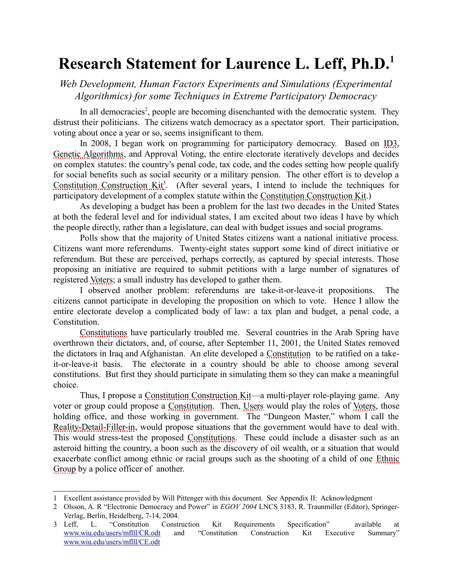<span id="page-0-3"></span>*Web Development, Human Factors Experiments and Simulations (Experimental Algorithmics) for some Techniques in Extreme Participatory Democracy*

In all democracies<sup>[2](#page-0-1)</sup>, people are becoming disenchanted with the democratic system. They distrust their politicians. The citizens watch democracy as a spectator sport. Their participation, voting about once a year or so, seems insignificant to them.

In 2008, I began work on programming for participatory democracy. Based on [ID3,](#page-34-1) [Genetic Algorithms,](#page-34-0) and Approval Voting, the entire electorate iteratively develops and decides on complex statutes: the country's penal code, tax code, and the codes setting how people qualify for social benefits such as social security or a military pension. The other effort is to develop a Constitution Construction Kit<sup>3</sup>. (After several years, I intend to include the techniques for participatory development of a complex statute within the [Constitution Construction Kit.](#page-33-3))

As developing a budget has been a problem for the last two decades in the United States at both the federal level and for individual states, I am excited about two ideas I have by which the people directly, rather than a legislature, can deal with budget issues and social programs.

Polls show that the majority of United States citizens want a national initiative process. Citizens want more referendums. Twenty-eight states support some kind of direct initiative or referendum. But these are perceived, perhaps correctly, as captured by special interests. Those proposing an initiative are required to submit petitions with a large number of signatures of registered [Voters;](#page-38-0) a small industry has developed to gather them.

I observed another problem: referendums are take-it-or-leave-it propositions. The citizens cannot participate in developing the proposition on which to vote. Hence I allow the entire electorate develop a complicated body of law: a tax plan and budget, a penal code, a Constitution.

 [Constitutions](#page-33-1) have particularly troubled me. Several countries in the Arab Spring have overthrown their dictators, and, of course, after September 11, 2001, the United States removed the dictators in Iraq and Afghanistan. An elite developed a [Constitution](#page-33-2) to be ratified on a takeit-or-leave-it basis. The electorate in a country should be able to choose among several constitutions. But first they should participate in simulating them so they can make a meaningful choice.

Thus, I propose a [Constitution Construction Kit—](#page-33-3)a multi-player role-playing game. Any voter or group could propose a [Constitution.](#page-33-2) Then, [Users](#page-38-1) would play the roles of [Voters,](#page-38-0) those holding office, and those working in government. The "Dungeon Master," whom I call the [Reality-Detail-Filler-in,](#page-36-0) would propose situations that the government would have to deal with. This would stress-test the proposed [Constitutions.](#page-33-1) These could include a disaster such as an asteroid hitting the country, a boon such as the discovery of oil wealth, or a situation that would exacerbate conflict among ethnic or racial groups such as the shooting of a child of one [Ethnic](#page-33-0) [Group](#page-33-0) by a police officer of another.

<span id="page-0-0"></span><sup>1</sup> Excellent assistance provided by Will Pittenger with this document. See [Appendix II: Acknowledgment](#page-38-2)

<span id="page-0-1"></span><sup>2</sup> Olsson, A. R "Electronic Democracy and Power" in *EGOV 2004* LNCS 3183, R. Traunmiller (Editor), Springer-Verlag, Berlin, Heidelberg, 7-14, 2004.

<span id="page-0-2"></span><sup>3</sup> Leff, L. "Constitution Construction Kit Requirements Specification" available at [www.wiu.edu/users/mflll/CR.odt](http://www.wiu.edu/users/mflll/CR.odt) and "Constitution Construction Kit Executive Summary" [www.wiu.edu/users/mflll/CE.odt](http://www.wiu.edu/users/mflll/CE.odt)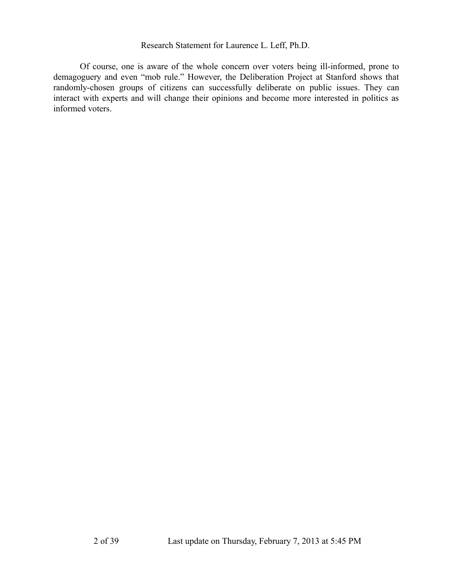Of course, one is aware of the whole concern over voters being ill-informed, prone to demagoguery and even "mob rule." However, the Deliberation Project at Stanford shows that randomly-chosen groups of citizens can successfully deliberate on public issues. They can interact with experts and will change their opinions and become more interested in politics as informed voters.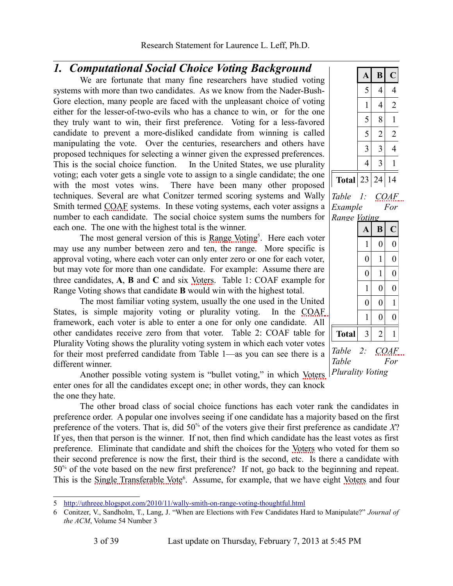## <span id="page-2-4"></span>*1. Computational Social Choice Voting Background*

We are fortunate that many fine researchers have studied voting systems with more than two candidates. As we know from the Nader-Bush-Gore election, many people are faced with the unpleasant choice of voting either for the lesser-of-two-evils who has a chance to win, or for the one they truly want to win, their first preference. Voting for a less-favored candidate to prevent a more-disliked candidate from winning is called manipulating the vote. Over the centuries, researchers and others have proposed techniques for selecting a winner given the expressed preferences. This is the social choice function. In the United States, we use plurality voting; each voter gets a single vote to assign to a single candidate; the one with the most votes wins. There have been many other proposed techniques. Several are what Conitzer termed scoring systems and Wally Smith termed [COAF](#page-32-0) systems. In these voting systems, each voter assigns a number to each candidate. The social choice system sums the numbers for each one. The one with the highest total is the winner.

The most general version of this is [Range Voting](#page-36-1)<sup>[5](#page-2-2)</sup>. Here each voter may use any number between zero and ten, the range. More specific is approval voting, where each voter can only enter zero or one for each voter, but may vote for more than one candidate. For example: Assume there are three candidates, **A**, **B** and **C** and six [Voters.](#page-38-0) [Table 1: COAF example for](#page-2-0) [Range Voting](#page-2-0) shows that candidate **B** would win with the highest total.

The most familiar voting system, usually the one used in the United States, is simple majority voting or plurality voting. In the [COAF](#page-32-0) framework, each voter is able to enter a one for only one candidate. All other candidates receive zero from that voter. [Table 2: COAF table for](#page-2-1) [Plurality Voting](#page-2-1) shows the plurality voting system in which each voter votes for their most preferred candidate from [Table 1—](#page-2-0)as you can see there is a different winner.

|              | A  | B              | $\overline{\mathsf{C}}$ |
|--------------|----|----------------|-------------------------|
|              | 5  | 4              | 4                       |
|              | 1  | 4              | $\overline{2}$          |
|              | 5  | 8              | 1                       |
|              | 5  | $\overline{2}$ | $\overline{2}$          |
|              | 3  | 3              | 4                       |
|              | 4  | 3              | 1                       |
| <b>Total</b> | 23 | 24             | 14                      |

<span id="page-2-0"></span>*Table 1: [COAF](#page-32-0) Example For [Range Voting](#page-36-1)*

<span id="page-2-1"></span>

|                | A              | B              | $\overline{\text{C}}$ |
|----------------|----------------|----------------|-----------------------|
|                | 1              | $\overline{0}$ | $\overline{0}$        |
|                | $\overline{0}$ | 1              | $\overline{0}$        |
|                | $\overline{0}$ | 1              | $\overline{0}$        |
|                | 1              | $\overline{0}$ | $\overline{0}$        |
|                | $\overline{0}$ | $\overline{0}$ | 1                     |
|                | 1              | $\overline{0}$ | $\overline{0}$        |
| <b>Total</b>   | 3              | $\overline{2}$ | 1                     |
| Table<br>Table | 2:             |                | <u>COAF.</u><br>For   |

Another possible voting system is "bullet voting," in which [Voters](#page-38-0) *Plurality Voting* enter ones for all the candidates except one; in other words, they can knock the one they hate.

The other broad class of social choice functions has each voter rank the candidates in preference order. A popular one involves seeing if one candidate has a majority based on the first preference of the voters. That is, did 50% of the voters give their first preference as candidate *X*? If yes, then that person is the winner. If not, then find which candidate has the least votes as first preference. Eliminate that candidate and shift the choices for the [Voters](#page-38-0) who voted for them so their second preference is now the first, their third is the second, etc. Is there a candidate with 50% of the vote based on the new first preference? If not, go back to the beginning and repeat. This is the [Single Transferable Vote](#page-37-0)<sup>[6](#page-2-3)</sup>. Assume, for example, that we have eight [Voters](#page-38-0) and four

<span id="page-2-2"></span><sup>5</sup><http://uthreee.blogspot.com/2010/11/wally-smith-on-range-voting-thoughtful.html>

<span id="page-2-3"></span><sup>6</sup> Conitzer, V., Sandholm, T., Lang, J. "When are Elections with Few Candidates Hard to Manipulate?" *Journal of the ACM*, Volume 54 Number 3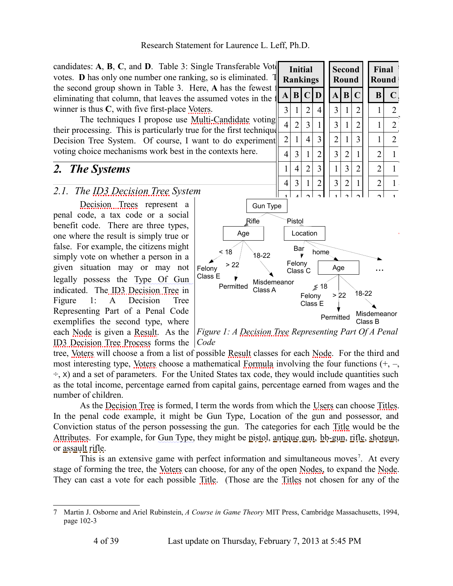candidates:  $A$ ,  $B$ ,  $C$ , and  $D$ . [Table 3: Single Transferable Vote](#page-3-2) votes. **D** has only one number one ranking, so is eliminated. the second group shown in [Table 3.](#page-3-2) Here, **A** has the fewest  $\overrightarrow{AB|CD}$   $\overrightarrow{AB|C}$  **B**  $\overrightarrow{C}$ eliminating that column, that leaves the assumed votes in the winner is thus **C**, with five first-place [Voters.](#page-38-0)

their processing. This is particularly true for the first technique I propose in Section 2.1 The ID[3](#page-3-1) [Decision Tree System.](#page-3-1) Of course, I want to do experiment  $\begin{bmatrix} 2 & 1 & 4 & 3 & 2 & 1 & 3 & 1 & 1 & 2 \end{bmatrix}$ voting choice mechanisms work best in the contexts here.

# *2. The Systems*

### <span id="page-3-1"></span>*2.1. The [ID3 Decision Tree](#page-34-4) System*

[Decision Trees](#page-33-5) represent a penal code, a tax code or a social benefit code. There are three types, one where the result is simply true or false. For example, the citizens might simply vote on whether a person in a given situation may or may not legally possess the Type Of Gun indicated. The ID3 [Decision Tree](#page-33-4) in [Figure 1: A Decision Tree](#page-3-0) [Representing Part of a Penal Code](#page-3-0) exemplifies the second type, where each [Node](#page-35-0) is given a [Result.](#page-36-2) As the [ID3 Decision Tree Process](#page-34-3) forms the *Code*



<span id="page-3-2"></span><span id="page-3-0"></span>*Figure 1: A [Decision Tree](#page-33-4) Representing Part Of A Penal*

tree, [Voters](#page-38-0) will choose a from a list of possible [Result](#page-36-2) classes for each [Node.](#page-35-0) For the third and most interesting type, [Voters](#page-38-0) choose a mathematical [Formula](#page-34-2) involving the four functions  $(+, -,$  $\div$ , x) and a set of parameters. For the United States tax code, they would include quantities such as the total income, percentage earned from capital gains, percentage earned from wages and the number of children.

As the [Decision Tree](#page-33-4) is formed, I term the words from which the [Users](#page-38-1) can choose [Titles.](#page-37-1) In the penal code example, it might be Gun Type, Location of the gun and possessor, and Conviction status of the person possessing the gun. The categories for each [Title](#page-37-2) would be the [Attributes.](#page-32-1) For example, for Gun Type, they might be pistol, antique gun, bb-gun, rifle, shotgun, or assault rifle.

This is an extensive game with perfect information and simultaneous moves<sup>[7](#page-3-3)</sup>. At every stage of forming the tree, the [Voters](#page-38-0) can choose, for any of the open [Nodes,](#page-35-1) to expand the [Node.](#page-35-0) They can cast a vote for each possible [Title.](#page-37-2) (Those are the [Titles](#page-37-1) not chosen for any of the

<span id="page-3-3"></span><sup>7</sup> Martin J. Osborne and Ariel Rubinstein, *A Course in Game Theory* MIT Press, Cambridge Massachusetts, 1994, page 102-3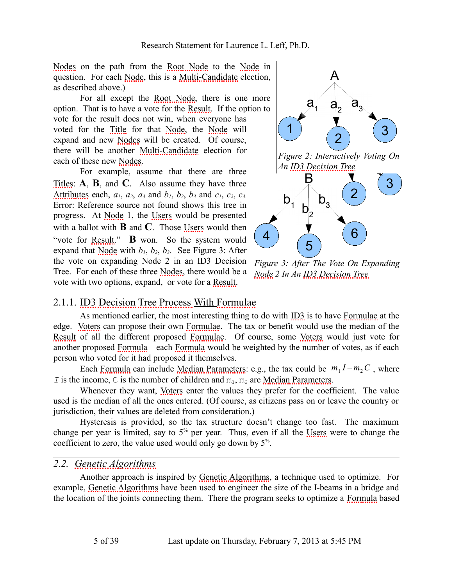[Nodes](#page-35-1) on the path fromt[he Root N](#page-36-3)ode t[o the](#page-35-0) Node in [question.](#page-35-2) For each Node, this is a Multi-Candidate election, as described above.)

For all except the Root Node, there is one more opti[on. Th](#page-35-0)at i[s to hav](#page-35-0)e a vote for the Resu[lt. If th](#page-35-1)e option to vote for the result does not win, when everyo[ne has](#page-35-2) [voted for](#page-35-2) the Title for that Node, t[he Nod](#page-35-1)e will expand and new Nodes will be created. Of course, [there](#page-37-1) will be another Multi-Candidate election for [each of the](#page-32-1)se new Nodes.

[For example, assume tha](#page-4-1)t there are three Titles: **A**, **B**, [and](#page-35-0) **C**. Al[so assu](#page-38-1)me they have three Attributes each,  $a_1$ ,  $a_2$ ,  $a_3$  [an](#page-38-1)d  $b_1$ ,  $b_2$ ,  $b_3$  and  $c_1$ ,  $c_2$ ,  $c_3$ . Error: Ref[erence](#page-36-2) source not found shows this tree in progress. [At Nod](#page-35-0)e 1, the Users wou[ld be presented](#page-4-0) with a ballot with **B** and **C**[. Those Users would then](#page-4-0) ["vote](#page-4-0) for Result." **B** won. [So th](#page-35-1)e system would expand that  $\text{Nodge}$  with  $b_1$ ,  $b_2$ ,  $b_3$ . See Figur[e 3: Af](#page-36-2)ter the vote on expanding Node 2 in an ID3 Decision Tree. [For each of these three Nodes, th](#page-34-3)ere [would be a](#page-34-5) [vote with two optio](#page-34-5)ns, expand, or vote for a Result.



<span id="page-4-1"></span><span id="page-4-0"></span>*[Figur](#page-35-0)e 3: Aft[er The Vote On Ex](#page-34-4)panding [Node 2 In An ID3 Decision Tree](#page-34-5)*

### 2.1.1. [ID3 D](#page-38-0)ecision Tree Proce[ss With F](#page-34-5)ormulae

As mentioned earlier, the most [interesting](#page-34-5) thing to do with I[D3 is to](#page-38-0) have Formulae at the [edge.](#page-36-2) Voters can [propose](#page-34-2) their o[wn Formu](#page-34-2)lae. The tax or benefit would use the median of the Result of all the different proposed Formulae. Of course, some Voters would just vote for another prop[osed Form](#page-34-2)ula—each [Formula would be w](#page-35-3)eighted by the number of votes, as if each person who voted for it had proposed it themselves.

Each Formula can inc[lude](#page-38-0) Median Parameters: e.g[., the tax could be](#page-35-3)  $m_1 I - m_2 C$ , where *I* is the income, C is the number of children and  $m_1$ ,  $m_2$  are Median Parameters.

Whenever they want, Voters enter the values they prefer for the coefficient. The value used is the median of all the ones entered. (Of course, as citizens pass on or leave the country or jurisdiction, their values are deleted from consideration.)

<span id="page-4-3"></span>Hysteresis is provided, so the tax structure doesn't change [too fa](#page-38-1)st. The maximum change per year is limited, say to  $5<sup>%</sup>$  per year. Thus, even if all the Users were to change the coeffi[cient to zero, the value u](#page-34-0)sed would only go down by 5% .

### *2.2. Ge[netic Algorithms](#page-34-0)*

<span id="page-4-2"></span>Another approach is inspired by Genetic Algorithms, a technique used to [optimize](#page-34-2). For example, Genetic Algorithms have been used to engineer the size of the I-beams in a bridge and the location of the joints connecting [th](#page-4-2)em. There the program seeks to optimize a Formula based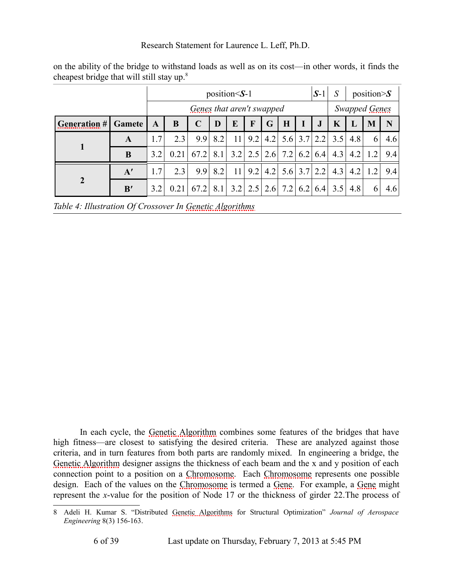|                     |        |     | position $\le$ S-1        |             |     |                         |     | $S-1$ | S                   |     | position $\gtrsim S$ |     |     |     |     |
|---------------------|--------|-----|---------------------------|-------------|-----|-------------------------|-----|-------|---------------------|-----|----------------------|-----|-----|-----|-----|
|                     |        |     | Genes that aren't swapped |             |     |                         |     |       |                     |     | Swapped Genes        |     |     |     |     |
| <b>Generation #</b> | Gamete | A   | B                         | $\mathbf C$ | D   | E                       | F   | G     | H                   |     | $\bf J$              | K   |     | M   | N   |
|                     | A      | 1.7 | 2.3                       | 9.9         | 8.2 | 11                      | 9.2 |       | 4.2 $5.6$ 3.7 $2.2$ |     |                      | 3.5 | 4.8 | 6   | 4.6 |
| 1                   | B      | 32  | 0.211                     | 67.2        |     | 8.1 3.2 2.5 2.6 7.2     |     |       |                     | 6.2 | 6.4                  | 4.3 | 4.2 | 1.2 | 9.4 |
|                     | A'     | 1.7 | 2.3                       | 9.9         | 8.2 | 11                      | 9.2 |       | 4.2 $5.6$ 3.7 2.2   |     |                      | 4.3 | 4.2 | 1.2 | 9.4 |
| $\boldsymbol{2}$    | B'     | 3.2 | 0.21                      | 67.2        |     | 8.1 3.2 2.5 2.6 7.2 6.2 |     |       |                     |     | 6.4                  | 3.5 | 4.8 | 6   | 4.6 |

on the ability of the bridge to withstand loads as well as on its cost—in other words, it finds the cheapest bridge that will still stay up.<sup>8</sup>

<span id="page-5-0"></span>*Table 4: Illustration Of Crossover In Genetic Algorithms*

In each cycle, the Genetic Algorithm combines some features of the bridges that have [high fitness—are c](#page-34-7)losest to satisfying the desired criteria. These are analyzed against those criteria, and in turn features from b[oth parts are ra](#page-32-2)ndoml[y mixed. In e](#page-32-2)ngineering a bridge, the Genetic Algorithm designer assign[s the thickness](#page-32-2) of each be[am and](#page-34-6) the x and y posi[tion o](#page-34-6)f each connection point to a position on a Chr[omoso](#page-35-0)me. Each Chromosome represents one possible design. Each [of the values on](#page-32-3) the Chromosome is termed a Gene. For example, a Gene might represent the *x*-value for the posi[tion of Node 1](#page-32-3)7 or the thickness of girder 22.[The process of](#page-32-2)

<sup>8</sup> Adeli H. Kumar S. "Distributed Genetic Algorithms for Structural Optimization" *Journal of Aerospace Engineering* 8(3) 156-163.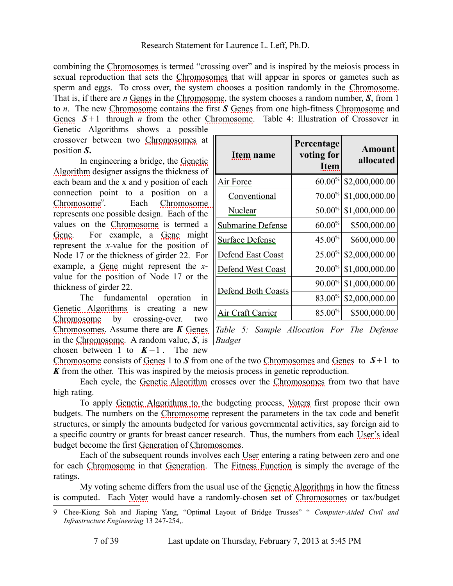combining the Chro[mosome](#page-34-8)s is te[rmed "crossin](#page-32-2)g over" and is inspired by the meiosis process in sexual reprodu[ction that sets](#page-32-2) the Chromosomes [that w](#page-34-8)ill appear in spores o[r gametes such](#page-32-2) as [sperm](#page-34-8) and eggs. To cross over, the syst[em chooses a](#page-32-2) p[osition randomly in the Chromosome.](#page-5-0) [That is, if there are](#page-5-0) *n* Genes in the Chromosome, the system chooses a random number, *S*, from 1 to *n*. The new Chromos[ome contains th](#page-32-3)e first *S* Genes from one high-fitness Chromosome and Genes  $S+1$  through *n* from the other Chrom[osome](#page-34-10). Table 4: Illustration of Crossover in

Genetic Algorithms shows a [possible](#page-34-7) [crossover](#page-34-7) between two Chromosomes at position *S***.**

In engineering a bridge, the Genetic [Algorithm de](#page-32-2)[si](#page-6-0)gner assigns th[e thickness of](#page-32-2) each beam and the x and y position of each connection po[int to a po](#page-32-2)sition on a  $Chromosome<sup>9</sup>$  $Chromosome<sup>9</sup>$ . Each [Chrom](#page-34-6)osome represents one possible design. Each of the [values](#page-35-0) on the Chromosome is termed a Gene. F[or exa](#page-34-6)mple, a Gene might represent the *x*-value for [the p](#page-35-0)osition of Node 17 or the thickness of girder 22. For example, a Gene might represent the *x*[value for the positio](#page-34-0)n of Node 17 or the [thickness of g](#page-32-2)irder 22.

[The f](#page-32-3)undamental operati[on in](#page-34-8) Genet[ic Algorithms](#page-32-2) is creating a new Chromosome by crossing-over. two in the Chromosome. A random value, *S*, is *Budget*chosen between 1 to  $K-1$ [. The new](#page-34-7)

<span id="page-6-1"></span>

| Item name                 | Percentage<br>voting for<br><b>Item</b> | Amount<br>allocated |
|---------------------------|-----------------------------------------|---------------------|
| <b>Air Force</b>          | $60.00\%$                               | \$2,000,000.00      |
| Conventional              | $70.00\%$                               | \$1,000,000.00      |
| <b>Nuclear</b>            | $50.00\%$                               | \$1,000,000.00      |
| <b>Submarine Defense</b>  | $60.00\%$                               | \$500,000.00        |
| Surface Defense           | $45.00\%$                               | \$600,000.00        |
| <b>Defend East Coast</b>  | $25.00\%$                               | \$2,000,000.00      |
| <b>Defend West Coast</b>  | $20.00\%$                               | \$1,000,000.00      |
|                           | $90.00\%$                               | \$1,000,000.00      |
| <b>Defend Both Coasts</b> | 83.00%                                  | \$2,000,000.00      |
| Air Craft Carrier         | 85.00%                                  | \$500,000.00        |

[Chromosomes](#page-32-2). Assume [there a](#page-34-8)re *K* Genes *Table 5: S[ample Allocati](#page-32-3)on [For Th](#page-34-8)e Defense*

Chromosome consists of Genes 1 to *S* from one of the two Chromosomes and Genes to *S*+1 to *K* from the other. [This was inspired by](#page-34-0) the meiosis process in gen[etic rep](#page-38-0)roduction.

Each cycle, the Gene[tic Algorithm](#page-32-2) crosses over the Chromosomes from two that have high rating.

To apply Genetic Algorithms to the budgeting process, Voters first propos[e their](#page-38-1) own budgets. The numbers [on the Chrom](#page-34-9)[osome represent](#page-32-3) the parameters in the tax code and benefit structures, or simply the amounts budgeted for vario[us gov](#page-38-4)ernmental activities, say foreign aid to a specifi[c country or gr](#page-32-2)ants for [breast cance](#page-34-9)r rese[arch. Thus, the nu](#page-33-6)mbers from each User's ideal budget become the first Generation of Chromosomes.

Each of the subsequent rounds involves each User [entering a rating betw](#page-34-0)een zero and one for each Chromoso[me in](#page-38-3) that Generation. The Fitness Function [is simply the a](#page-32-3)verage of the ratings.

My voting scheme differs from the usual use of the Genetic Algorithms in how the fitness is computed. Each Voter would have a randomly-chosen set of Chromosomes or tax/budget

<span id="page-6-0"></span><sup>9</sup> Chee-Kiong Soh and Jiaping Yang, "Optimal Layout of Bridge Trusses" " *Computer-Aided Civil and Infrastructure Engineering* 13 247-254,.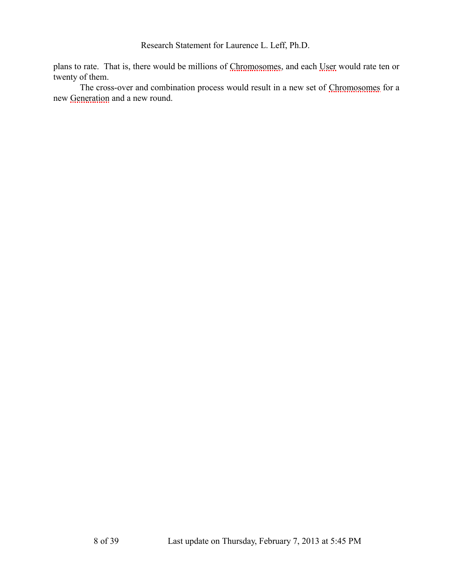plans to rate. That is, there would be millions of Chromosomes, and each U[ser would rate t](#page-32-3)en or twe[nty of them.](#page-34-9)

The cross-over and combination process would result in a new set of Chromosomes for a new Generation and a new round.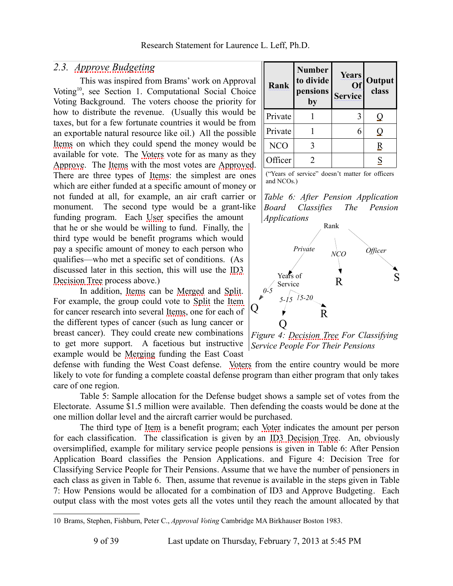### <span id="page-8-3"></span>*2.3. [Approve Budgeting](#page-32-6)*

This was inspired from Brams' work on Approval Voting[10](#page-8-2), see Section [1.](#page-2-4) [Computational Social Choice](#page-2-4) [Voting Background.](#page-2-4) The voters choose the priority for how to distribute the revenue. (Usually this would be taxes, but for a few fortunate countries it would be from an exportable natural resource like oil.) All the possible [Items](#page-34-11) on which they could spend the money would be available for vote. The [Voters](#page-38-0) vote for as many as they [Approve.](#page-32-5) The [Items](#page-34-11) with the most votes are [Approved.](#page-32-4) There are three types of [Items:](#page-34-11) the simplest are ones which are either funded at a specific amount of money or not funded at all, for example, an air craft carrier or monument. The second type would be a grant-like funding program. Each [User](#page-38-4) specifies the amount that he or she would be willing to fund. Finally, the third type would be benefit programs which would pay a specific amount of money to each person who qualifies—who met a specific set of conditions. (As discussed later in this section, this will use the [ID3](#page-34-4) [Decision Tree](#page-34-4) process above.)

In addition, [Items](#page-34-11) can be [Merged](#page-35-4) and [Split.](#page-37-3) For example, the group could vote to [Split](#page-37-3) the [Item](#page-34-10) for cancer research into several [Items,](#page-34-11) one for each of the different types of cancer (such as lung cancer or breast cancer). They could create new combinations to get more support. A facetious but instructive example would be [Merging](#page-35-4) funding the East Coast

defense with funding the West Coast defense. [Voters](#page-38-0) from the entire country would be more likely to vote for funding a complete coastal defense program than either program that only takes care of one region.

[Table 5: Sample allocation for the Defense budget](#page-6-1) shows a sample set of votes from the Electorate. Assume \$1.5 million were available. Then defending the coasts would be done at the one million dollar level and the aircraft carrier would be purchased.

The third type of [Item](#page-34-10) is a benefit program; each [Voter](#page-38-3) indicates the amount per person for each classification. The classification is given by an [ID3 Decision Tree.](#page-34-4) An, obviously oversimplified, example for military service people pensions is given in [Table 6: After Pension](#page-8-0) [Application Board classifies the Pension Applications.](#page-8-0) and [Figure 4: Decision Tree for](#page-8-1) [Classifying Service People for Their Pensions.](#page-8-1) Assume that we have the number of pensioners in each class as given in [Table 6.](#page-8-0) Then, assume that revenue is available in the steps given in [Table](#page-9-0) [7: How Pensions would be allocated for a combination of ID3 and Approve Budgeting.](#page-9-0) Each output class with the most votes gets all the votes until they reach the amount allocated by that

| Rank       | <b>Number</b><br>to divide<br>pensions<br>by | <b>Years</b><br>Of<br><b>Service</b> | <b>Output</b><br>class |
|------------|----------------------------------------------|--------------------------------------|------------------------|
| Private    |                                              | 3                                    | Q                      |
| Private    |                                              | 6                                    | J                      |
| <b>NCO</b> |                                              |                                      | R                      |
| Officer    |                                              |                                      |                        |

("Years of service" doesn't matter for officers and NCOs.)

<span id="page-8-0"></span>*Table 6: After Pension Application Board Classifies The Pension Applications*



<span id="page-8-1"></span>*Figure 4: [Decision Tree](#page-33-4) For Classifying Service People For Their Pensions*

<span id="page-8-2"></span><sup>10</sup> Brams, Stephen, Fishburn, Peter C., *Approval Voting* Cambridge MA Birkhauser Boston 1983.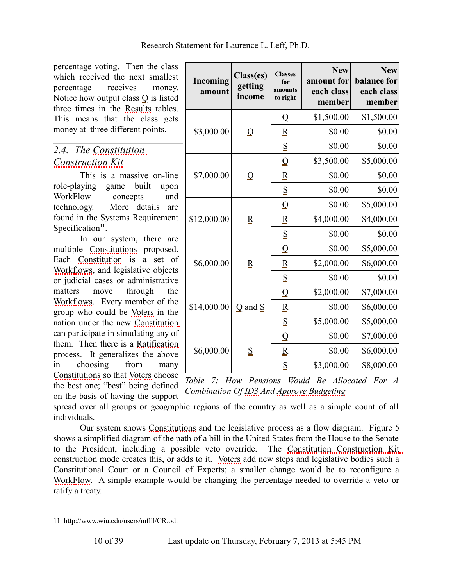percentage voting. Then the class which received the next smallest percentage receives money. Notice how output class Q is listed three times in the [Results](#page-36-5) tables. This means that the class gets money at three different points.

### <span id="page-9-2"></span>*2.4. The [Constitution](#page-33-3)  [Construction Kit](#page-33-3)*

This is a massive on-line role-playing game built upon [WorkFlow](#page-38-5) concepts and technology. More details are found in the Systems Requirement Specification $11$ .

In our system, there are multiple [Constitutions](#page-33-1) proposed. Each [Constitution](#page-33-2) is a set of [Workflows,](#page-38-6) and legislative objects or judicial cases or administrative matters move through the [Workflows.](#page-38-6) Every member of the group who could be [Voters](#page-38-0) in the nation under the new [Constitution](#page-33-2) can participate in simulating any of them. Then there is a [Ratification](#page-36-4) process. It generalizes the above in choosing from many [Constitutions](#page-33-1) so that [Voters](#page-38-0) choose the best one; "best" being defined on the basis of having the support

| Incoming<br>amount | Class(es)<br>getting<br>income | <b>Classes</b><br>for<br>amounts<br>to right | <b>New</b><br>amount for<br>each class<br>member | <b>New</b><br>balance for<br>each class<br>member |
|--------------------|--------------------------------|----------------------------------------------|--------------------------------------------------|---------------------------------------------------|
|                    |                                | $\overline{\mathsf{Q}}$                      | \$1,500.00                                       | \$1,500.00                                        |
| \$3,000.00         | $\Omega$                       | $\overline{\mathbf{R}}$                      | \$0.00                                           | \$0.00                                            |
|                    |                                | $\underline{\mathbf{S}}$                     | \$0.00                                           | \$0.00                                            |
|                    |                                | $\overline{\mathsf{Q}}$                      | \$3,500.00                                       | \$5,000.00                                        |
| \$7,000.00         | $\Omega$                       | $\overline{\mathbf{R}}$                      | \$0.00                                           | \$0.00                                            |
|                    |                                | S                                            | \$0.00                                           | \$0.00                                            |
|                    |                                | $\overline{Q}$                               | \$0.00                                           | \$5,000.00                                        |
| \$12,000.00        | $\overline{\mathbf{R}}$        | $\overline{\mathbf{R}}$                      | \$4,000.00                                       | \$4,000.00                                        |
|                    |                                | S                                            | \$0.00                                           | \$0.00                                            |
|                    |                                | $\overline{Q}$                               | \$0.00                                           | \$5,000.00                                        |
| \$6,000.00         | $\overline{\mathbf{R}}$        | $\overline{\mathbf{R}}$                      | \$2,000.00                                       | \$6,000.00                                        |
|                    |                                | S                                            | \$0.00                                           | \$0.00                                            |
|                    |                                | Q                                            | \$2,000.00                                       | \$7,000.00                                        |
| \$14,000.00        | $Q$ and $S$                    | R                                            | \$0.00                                           | \$6,000.00                                        |
|                    |                                | S                                            | \$5,000.00                                       | \$5,000.00                                        |
|                    |                                | Q                                            | \$0.00                                           | \$7,000.00                                        |
| \$6,000.00         | S                              | $\overline{\mathbf{R}}$                      | \$0.00                                           | \$6,000.00                                        |
|                    |                                | S                                            | \$3,000.00                                       | \$8,000.00                                        |

<span id="page-9-0"></span>*Table 7: How Pensions Would Be Allocated For A Combination Of [ID3](#page-34-1) And [Approve Budgeting](#page-32-6)*

spread over all groups or geographic regions of the country as well as a simple count of all individuals.

Our system shows [Constitutions](#page-33-1) and the legislative process as a flow diagram. [Figure 5](#page-10-0) shows a simplified diagram of the path of a bill in the United States from the House to the Senate to the President, including a possible veto override. The [Constitution Construction Kit](#page-33-3) construction mode creates this, or adds to it. [Voters](#page-38-0) add new steps and legislative bodies such a Constitutional Court or a Council of Experts; a smaller change would be to reconfigure a [WorkFlow.](#page-38-5) A simple example would be changing the percentage needed to override a veto or ratify a treaty.

<span id="page-9-1"></span><sup>11</sup> http://www.wiu.edu/users/mflll/CR.odt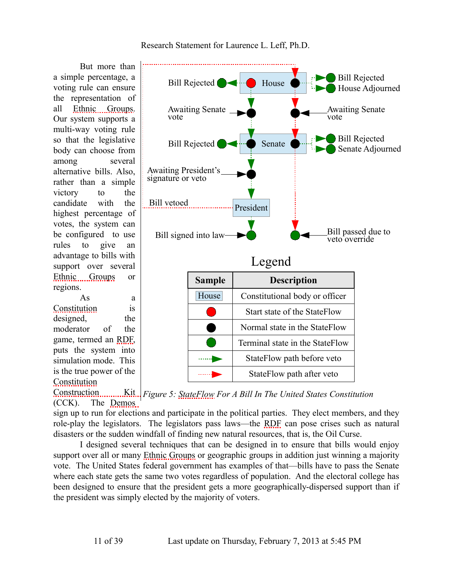But more than a simple percentage, a voting rule can ensure the representation of all [Ethnic Groups.](#page-33-7) Our system supports a multi-way voting rule so that the legislative body can choose from among several alternative bills. Also, rather than a simple victory to the candidate with the highest percentage of votes, the system can be configured to use rules to give an advantage to bills with support over several [Ethnic Groups](#page-33-7) or regions.

As a [Constitution](#page-33-2) is designed, the moderator of the game, termed an [RDF,](#page-36-6) puts the system into simulation mode. This is the true power of the **[Constitution](#page-33-3)** 



<span id="page-10-0"></span>Construction **Kit.** Figure 5: [StateFlow](#page-37-4) For A Bill In The United States Constitution (CCK). The [Demos](#page-33-8)

sign up to run for elections and participate in the political parties. They elect members, and they role-play the legislators. The legislators pass laws—the [RDF](#page-36-6) can pose crises such as natural disasters or the sudden windfall of finding new natural resources, that is, the Oil Curse.

I designed several techniques that can be designed in to ensure that bills would enjoy support over all or many [Ethnic Groups](#page-33-7) or geographic groups in addition just winning a majority vote. The United States federal government has examples of that—bills have to pass the Senate where each state gets the same two votes regardless of population. And the electoral college has been designed to ensure that the president gets a more geographically-dispersed support than if the president was simply elected by the majority of voters.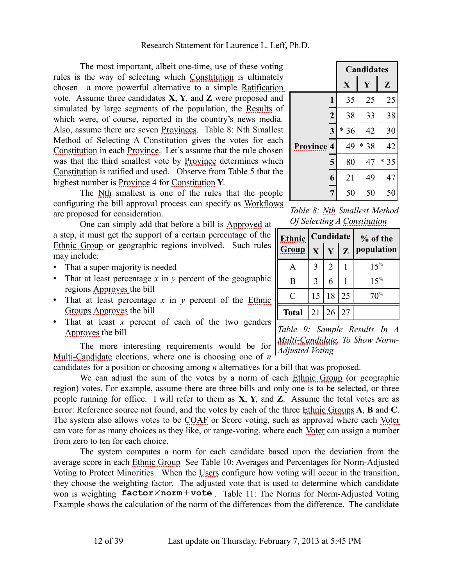The most important, albeit one-time, use of these voting rules is the way of selecting which [Constitution](#page-33-2) is ultimately chosen—a more powerful alternative to a simple [Ratification](#page-36-4) vote. Assume three candidates **X**, **Y**, and **Z** were proposed and simulated by large segments of the population, the [Results](#page-36-5) of which were, of course, reported in the country's news media. Also, assume there are seven [Provinces.](#page-36-9) [Table 8: Nth Smallest](#page-11-1) [Method of Selecting A Constitution](#page-11-1) gives the votes for each [Constitution](#page-33-2) in each [Province.](#page-36-8) Let's assume that the rule chosen was that the third smallest vote by [Province](#page-36-8) determines which [Constitution](#page-33-2) is ratified and used. Observe from [Table 5](#page-6-1) that the highest number is [Province](#page-36-8) 4 for [Constitution](#page-33-2) **Y**.

The [Nth](#page-36-7) smallest is one of the rules that the people configuring the bill approval process can specify as [Workflows](#page-38-6) are proposed for consideration.

One can simply add that before a bill is [Approved](#page-32-4) at a step, it must get the support of a certain percentage of the [Ethnic Group](#page-33-0) or geographic regions involved. Such rules may include:

- That a super-majority is needed
- That at least percentage *x* in *y* percent of the geographic regions [Approves](#page-32-4) the bill
- That at least percentage *x* in *y* percent of the [Ethnic](#page-33-7) [Groups](#page-33-7) [Approves](#page-32-4) the bill
- That at least *x* percent of each of the two genders [Approves](#page-32-4) the bill

The more interesting requirements would be for [Multi-Candidate](#page-35-2) elections, where one is choosing one of *n*

candidates for a position or choosing among *n* alternatives for a bill that was proposed.

<span id="page-11-0"></span>We can adjust the sum of the votes by a norm of each [Ethnic Group](#page-33-0) (or geographic region) votes. For example, assume there are three bills and only one is to be selected, or three people running for office. I will refer to them as **X**, **Y**, and **Z**. Assume the total votes are as [Error: Reference source not found,](#page-11-0) and the votes by each of the three [Ethnic Groups](#page-33-7) **A**, **B** and **C**. The system also allows votes to be [COAF](#page-32-0) or Score voting, such as approval where each [Voter](#page-38-3) can vote for as many choices as they like, or range-voting, where each [Voter](#page-38-3) can assign a number from zero to ten for each choice.

The system computes a norm for each candidate based upon the deviation from the average score in each [Ethnic Group](#page-33-0) See [Table 10: Averages and Percentages for Norm-Adjusted](#page-13-1) [Voting to Protect Minorities.](#page-13-1) When the [Users](#page-38-1) configure how voting will occur in the transition, they choose the weighting factor. The adjusted vote that is used to determine which candidate won is weighting **factor**×**norm**+**vote** . [Table 11: The Norms for Norm-Adjusted Voting](#page-13-0) [Example](#page-13-0) shows the calculation of the norm of the differences from the difference. The candidate

|                   |                         | <b>Candidates</b> |      |              |  |  |
|-------------------|-------------------------|-------------------|------|--------------|--|--|
|                   |                         | X                 | Y    | $\mathbf{Z}$ |  |  |
|                   | 1                       | 35                | 25   | 25           |  |  |
|                   | $\boldsymbol{2}$        | 38                | 33   | 38           |  |  |
|                   | $\overline{\mathbf{3}}$ | $*36$             | 42   | 30           |  |  |
| <b>Province 4</b> |                         | 49                | * 38 | 42           |  |  |
|                   | 5                       | 80                | 47   | $*35$        |  |  |
|                   | 6                       | 21                | 49   | 47           |  |  |
|                   | $\overline{7}$          | 50                | 50   | 50           |  |  |

<span id="page-11-1"></span>*Table 8: [Nth](#page-36-7) Smallest Method Of Selecting A [Constitution](#page-33-2)*

| Ethnic       |    | Candidate       |    | % of the   |
|--------------|----|-----------------|----|------------|
| Group        |    | X Y Z           |    | population |
| A            | 3  | 2               |    | $15\%$     |
| B            | 3  | 6               |    | $15\%$     |
| C            | 15 | 18              | 25 | 70%        |
| <b>Total</b> | 21 | $\overline{26}$ | 27 |            |

*Table 9: Sample Results In A [Multi-Candidate,](#page-35-2) To Show Norm-Adjusted Voting*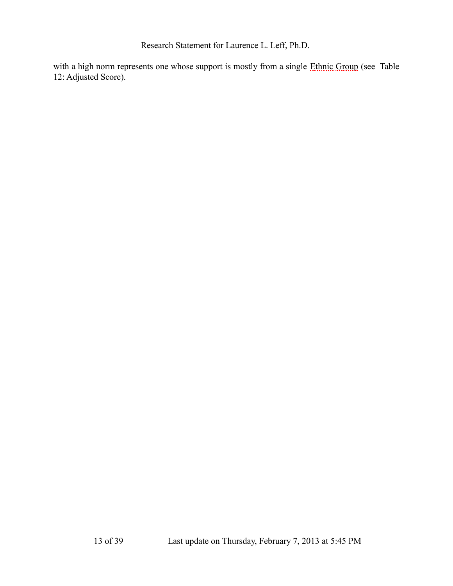with a high norm represents one whose support is mostly from a single [Ethnic Group](#page-33-0) (see [Table](#page-14-0) [12: Adjusted Score\)](#page-14-0).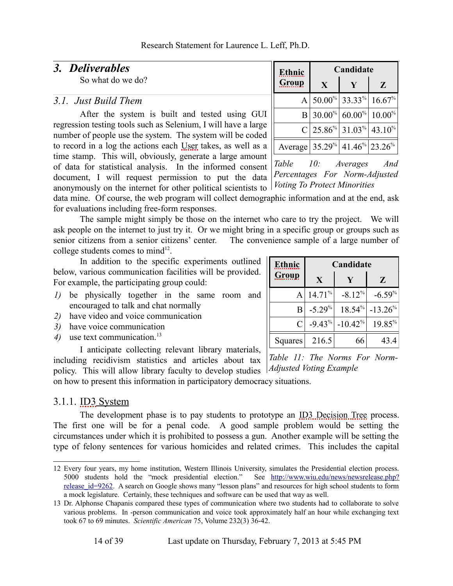### *3. Deliverables*

So what do we do?

### *3.1. Just Build Them*

After the system is built and tested using GUI regression testing tools such as Selenium, I will have a large number of people use the system. The system will be coded to record in a log the actions each [User](#page-38-4) takes, as well as a time stamp. This will, obviously, generate a large amount of data for statistical analysis. In the informed consent document, I will request permission to put the data anonymously on the internet for other political scientists to *Voting To Protect Minorities*

| <b>Ethnic</b>              | Candidate                 |               |              |  |  |  |
|----------------------------|---------------------------|---------------|--------------|--|--|--|
| <u>Group</u>               | X                         |               | $\mathbf{Z}$ |  |  |  |
| A                          |                           | 50.00% 33.33% | $16.67\%$    |  |  |  |
| B                          | $30.00\%$                 | $60.00\%$     | $10.00\%$    |  |  |  |
| $\mathcal{C}$              | $ 25.86^{\%} 31.03^{\%} $ |               | $43.10\%$    |  |  |  |
| Average 35.29 <sup>%</sup> |                           | 41.46% 23.26% |              |  |  |  |

<span id="page-13-1"></span>*Table 10: Averages And Percentages For Norm-Adjusted*

data mine. Of course, the web program will collect demographic information and at the end, ask for evaluations including free-form responses.

The sample might simply be those on the internet who care to try the project. We will ask people on the internet to just try it. Or we might bring in a specific group or groups such as senior citizens from a senior citizens' center. The convenience sample of a large number of college students comes to mind $12$ .

In addition to the specific experiments outlined below, various communication facilities will be provided. For example, the participating group could:

- *1)* be physically together in the same room and encouraged to talk and chat normally
- *2)* have video and voice communication
- *3)* have voice communication
- 4) use text communication.<sup>[13](#page-13-3)</sup>

I anticipate collecting relevant library materials, including recidivism statistics and articles about tax policy. This will allow library faculty to develop studies *Adjusted Voting Example* on how to present this information in participatory democracy situations.

### 3.1.1. **ID3** System

The development phase is to pay students to prototype an [ID3 Decision Tree](#page-34-4) process. The first one will be for a penal code. A good sample problem would be setting the circumstances under which it is prohibited to possess a gun. Another example will be setting the type of felony sentences for various homicides and related crimes. This includes the capital

<span id="page-13-3"></span><sup>13</sup> Dr. Alphonse Chapanis compared these types of communication where two students had to collaborate to solve various problems. In -person communication and voice took approximately half an hour while exchanging text took 67 to 69 minutes. *Scientific American* 75, Volume 232(3) 36-42.

| 4 of 39 |  |  |  |
|---------|--|--|--|
|---------|--|--|--|

| <b>Ethnic</b> | Candidate |           |           |  |  |
|---------------|-----------|-----------|-----------|--|--|
| <u>Group</u>  | X         |           | Z         |  |  |
| Α             | 14.71%    | $-8.12%$  | $-6.59%$  |  |  |
| B             | $-5.29%$  | $18.54\%$ | $-13.26%$ |  |  |
| C             | $-9.43%$  | $-10.42%$ | 19.85%    |  |  |
| Squares       | 216.5     | 66        | 43.4      |  |  |

<span id="page-13-0"></span>*Table 11: The Norms For Norm-*

<span id="page-13-2"></span><sup>12</sup> Every four years, my home institution, Western Illinois University, simulates the Presidential election process. 5000 students hold the "mock presidential election." See [http://www.wiu.edu/news/newsrelease.php?](http://www.wiu.edu/news/newsrelease.php?release_id=9262) release id=9262. A search on Google shows many "lesson plans" and resources for high school students to form a mock legislature. Certainly, these techniques and software can be used that way as well.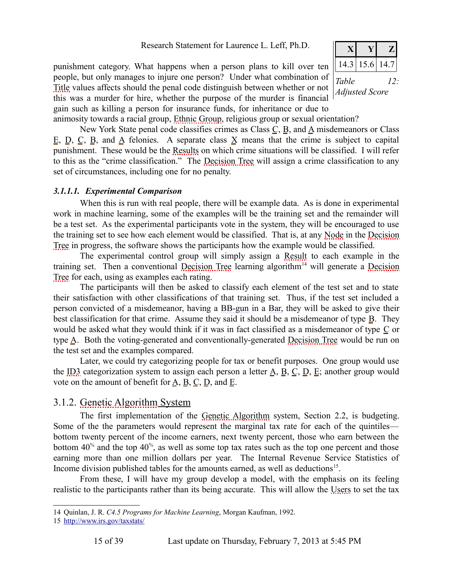punishment category. What happens when a person plans to kill over ten people, but only manages to injure one person? Under what combination of [Title](#page-37-2) values affects should the penal code distinguish between whether or not this was a murder for hire, whether the purpose of the murder is financial gain such as killing a person for insurance funds, for inheritance or due to

<span id="page-14-0"></span>

animosity towards a racial group, [Ethnic Group,](#page-33-0) religious group or sexual orientation?

New York State penal code classifies crimes as Class  $C$ ,  $B$ , and  $\Delta$  misdemeanors or Class E, D, C, B, and A felonies. A separate class  $X$  means that the crime is subject to capital punishment. These would be the [Results](#page-36-5) on which crime situations will be classified. I will refer to this as the "crime classification." The [Decision Tree](#page-33-4) will assign a crime classification to any set of circumstances, including one for no penalty.

#### *3.1.1.1. Experimental Comparison*

When this is run with real people, there will be example data. As is done in experimental work in machine learning, some of the examples will be the training set and the remainder will be a test set. As the experimental participants vote in the system, they will be encouraged to use the training set to see how each element would be classified. That is, at any [Node](#page-35-0) in the [Decision](#page-33-4) [Tree](#page-33-4) in progress, the software shows the participants how the example would be classified.

The experimental control group will simply assign a [Result](#page-36-2) to each example in the training set. Then a conventional [Decision Tree](#page-33-4) learning algorithm<sup>[14](#page-14-1)</sup> will generate a [Decision](#page-33-4) [Tree](#page-33-4) for each, using as examples each rating.

The participants will then be asked to classify each element of the test set and to state their satisfaction with other classifications of that training set. Thus, if the test set included a person convicted of a misdemeanor, having a BB-gun in a Bar, they will be asked to give their best classification for that crime. Assume they said it should be a misdemeanor of type B. They would be asked what they would think if it was in fact classified as a misdemeanor of type C or type A. Both the voting-generated and conventionally-generated [Decision Tree](#page-33-4) would be run on the test set and the examples compared.

Later, we could try categorizing people for tax or benefit purposes. One group would use the [ID3](#page-34-1) categorization system to assign each person a letter  $\underline{A}$ ,  $\underline{B}$ ,  $\underline{C}$ ,  $\underline{D}$ ,  $\underline{E}$ ; another group would vote on the amount of benefit for  $\underline{A}$ ,  $\underline{B}$ ,  $\underline{C}$ ,  $\underline{D}$ , and  $\underline{E}$ .

### 3.1.2. [Genetic Algorithm](#page-34-7) System

The first implementation of the [Genetic Algorithm](#page-34-7) system, Section [2.2,](#page-4-3) is budgeting. Some of the the parameters would represent the marginal tax rate for each of the quintiles bottom twenty percent of the income earners, next twenty percent, those who earn between the bottom  $40\%$  and the top  $40\%$ , as well as some top tax rates such as the top one percent and those earning more than one million dollars per year. The Internal Revenue Service Statistics of Income division published tables for the amounts earned, as well as deductions<sup>[15](#page-14-2)</sup>.

From these, I will have my group develop a model, with the emphasis on its feeling realistic to the participants rather than its being accurate. This will allow the [Users](#page-38-1) to set the tax

<span id="page-14-1"></span><sup>14</sup> Quinlan, J. R. *C4.5 Programs for Machine Learning*, Morgan Kaufman, 1992.

<span id="page-14-2"></span><sup>15</sup><http://www.irs.gov/taxstats/>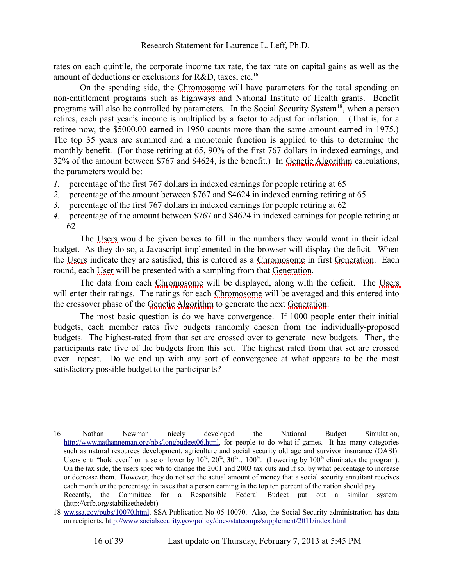rates on each quintile, the corporate income tax rate, the tax rate on capital gains as well as the amount of deductions or exclusions for R&D, taxes, etc.<sup>[16](#page-15-0)</sup>

On the spending side, the [Chromosome](#page-32-2) will have parameters for the total spending on non-entitlement programs such as highways and National Institute of Health grants. Benefit programs will also be controlled by parameters. In the Social Security System<sup>[18](#page-15-1)</sup>, when a person retires, each past year's income is multiplied by a factor to adjust for inflation. (That is, for a retiree now, the \$5000.00 earned in 1950 counts more than the same amount earned in 1975.) The top 35 years are summed and a monotonic function is applied to this to determine the monthly benefit. (For those retiring at 65, 90% of the first 767 dollars in indexed earnings, and 32% of the amount between \$767 and \$4624, is the benefit.) In [Genetic Algorithm](#page-34-7) calculations, the parameters would be:

- *1.* percentage of the first 767 dollars in indexed earnings for people retiring at 65
- *2.* percentage of the amount between \$767 and \$4624 in indexed earning retiring at 65
- *3.* percentage of the first 767 dollars in indexed earnings for people retiring at 62
- *4.* percentage of the amount between \$767 and \$4624 in indexed earnings for people retiring at 62

The [Users](#page-38-1) would be given boxes to fill in the numbers they would want in their ideal budget. As they do so, a Javascript implemented in the browser will display the deficit. When the [Users](#page-38-1) indicate they are satisfied, this is entered as a [Chromosome](#page-32-2) in first [Generation.](#page-34-9) Each round, each [User](#page-38-4) will be presented with a sampling from that [Generation.](#page-34-9)

The data from each [Chromosome](#page-32-2) will be displayed, along with the deficit. The [Users](#page-38-1) will enter their ratings. The ratings for each [Chromosome](#page-32-2) will be averaged and this entered into the crossover phase of the [Genetic Algorithm](#page-34-7) to generate the next [Generation.](#page-34-9)

The most basic question is do we have convergence. If 1000 people enter their initial budgets, each member rates five budgets randomly chosen from the individually-proposed budgets. The highest-rated from that set are crossed over to generate new budgets. Then, the participants rate five of the budgets from this set. The highest rated from that set are crossed over—repeat. Do we end up with any sort of convergence at what appears to be the most satisfactory possible budget to the participants?

<span id="page-15-0"></span><sup>16</sup> Nathan Newman nicely developed the National Budget Simulation, [http://www.nathanneman.org/nbs/longbudget06.html,](http://www.nathanneman.org/nbs/longbudget06.html) for people to do what-if games. It has many categories such as natural resources development, agriculture and social security old age and survivor insurance (OASI). Users entr "hold even" or raise or lower by  $10^{6}$ ,  $20^{6}$ ,  $30^{6}$ ... $100^{6}$ . (Lowering by  $100^{6}$  eliminates the program). On the tax side, the users spec wh to change the 2001 and 2003 tax cuts and if so, by what percentage to increase or decrease them. However, they do not set the actual amount of money that a social security annuitant receives each month or the percentage in taxes that a person earning in the top ten percent of the nation should pay. Recently, the Committee for a Responsible Federal Budget put out a similar system. (http://crfb.org/stabilizethedebt)

<span id="page-15-1"></span><sup>18</sup> [ww.ssa.gov/pubs/10070.html,](http://Www.ssa.gov/pubs/10070.html) SSA Publication No 05-10070. Also, the Social Security administration has data on recipients, [http://www.socialsecurity.gov/policy/docs/statcomps/supplement/2011/index.html](ttp://www.socialsecurity.gov/policy/docs/statcomps/supplement/2011/index.html)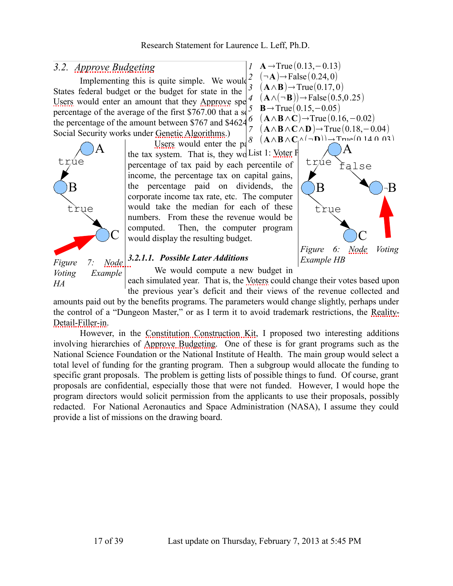### *3.2. [Approve Budgeting](#page-32-6)*

Implementing this is quite simple. We would  $\frac{2}{3}$ States federal budget or the budget for state in the [Users](#page-38-1) would enter an amount that they [Approve](#page-32-5) spe percentage of the average of the first \$767.00 that a solution shows show the percentage of the amount between \$767 and \$4624.6 the percentage of the amount between  $$767$  and  $$4624$ . Social Security works under [Genetic Algorithms.](#page-34-0))



[Users](#page-38-1) would enter the pa the tax system. That is, they wo List 1: [Voter](#page-38-3) F percentage of tax paid by each percentile of income, the percentage tax on capital gains, the percentage paid on dividends, the corporate income tax rate, etc. The computer would take the median for each of these numbers. From these the revenue would be computed. Then, the computer program would display the resulting budget.

<span id="page-16-2"></span><span id="page-16-0"></span>

*1* **A** →True (0.13,−0.13)

### <span id="page-16-1"></span>*3.2.1.1. Possible Later Additions*

We would compute a new budget in

each simulated year. That is, the [Voters](#page-38-0) could change their votes based upon the previous year's deficit and their views of the revenue collected and amounts paid out by the benefits programs. The parameters would change slightly, perhaps under the control of a "Dungeon Master," or as I term it to avoid trademark restrictions, the [Reality-](#page-36-0)[Detail-Filler-in.](#page-36-0) *HA*

However, in the [Constitution Construction Kit,](#page-33-3) I proposed two interesting additions involving hierarchies of [Approve Budgeting.](#page-32-6) One of these is for grant programs such as the National Science Foundation or the National Institute of Health. The main group would select a total level of funding for the granting program. Then a subgroup would allocate the funding to specific grant proposals. The problem is getting lists of possible things to fund. Of course, grant proposals are confidential, especially those that were not funded. However, I would hope the program directors would solicit permission from the applicants to use their proposals, possibly redacted. For National Aeronautics and Space Administration (NASA), I assume they could provide a list of missions on the drawing board.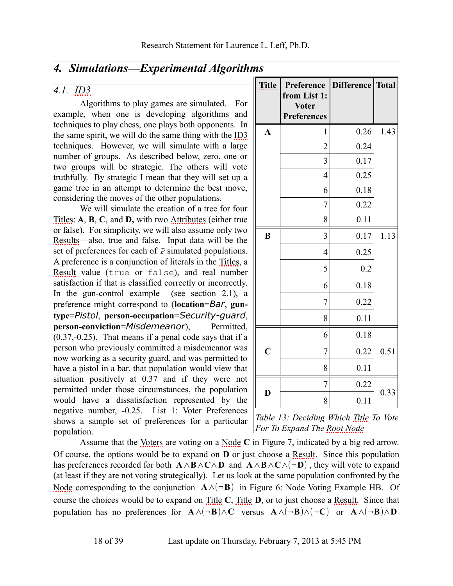### *4. Simulations—Experimental Algorithms*

### *4.1. [ID3](#page-34-1)*

Algorithms to play games are simulated. For example, when one is developing algorithms and techniques to play chess, one plays both opponents. In the same spirit, we will do the same thing with the [ID3](#page-34-1) techniques. However, we will simulate with a large number of groups. As described below, zero, one or two groups will be strategic. The others will vote truthfully. By strategic I mean that they will set up a game tree in an attempt to determine the best move, considering the moves of the other populations.

We will simulate the creation of a tree for four [Titles:](#page-37-1) **A**, **B**, **C**, and **D,** with two [Attributes](#page-32-1) (either true or false). For simplicity, we will also assume only two [Results—](#page-36-5)also, true and false. Input data will be the set of preferences for each of *P* simulated populations. A preference is a conjunction of literals in the [Titles,](#page-37-1) a [Result](#page-36-2) value (true or false), and real number satisfaction if that is classified correctly or incorrectly. In the gun-control example (see section [2.1\)](#page-3-1), a preference might correspond to (**location**=*Bar*, **guntype**=*Pistol*, **person-occupation**=*Security-guard*, **person-conviction**=*Misdemeanor*), Permitted, (0.37,-0.25). That means if a penal code says that if a person who previously committed a misdemeanor was now working as a security guard, and was permitted to have a pistol in a bar, that population would view that situation positively at 0.37 and if they were not permitted under those circumstances, the population would have a dissatisfaction represented by the negative number, -0.25. [List 1: Voter Preferences](#page-16-2) shows a sample set of preferences for a particular population.

| <b>Title</b>            | Preference<br>from List 1:<br><b>Voter</b><br><b>Preferences</b> | Difference   Total |      |
|-------------------------|------------------------------------------------------------------|--------------------|------|
| $\mathbf{A}$            | 1                                                                | 0.26               | 1.43 |
|                         | $\overline{2}$                                                   | 0.24               |      |
|                         | 3                                                                | 0.17               |      |
|                         | $\overline{4}$                                                   | 0.25               |      |
|                         | 6                                                                | 0.18               |      |
|                         | 7                                                                | 0.22               |      |
|                         | 8                                                                | 0.11               |      |
| B                       | 3                                                                | 0.17               | 1.13 |
|                         | $\overline{4}$                                                   | 0.25               |      |
|                         | 5                                                                | 0.2                |      |
|                         | 6                                                                | 0.18               |      |
|                         | 7                                                                | 0.22               |      |
|                         | 8                                                                | 0.11               |      |
|                         | 6                                                                | 0.18               |      |
| $\overline{\mathbf{C}}$ | 7                                                                | 0.22               | 0.51 |
|                         | 8                                                                | 0.11               |      |
|                         | 7                                                                | 0.22               |      |
| D                       | 8                                                                | 0.11               | 0.33 |

<span id="page-17-0"></span>*Table 13: Deciding Which [Title](#page-37-2) To Vote For To Expand The [Root Node](#page-36-3)*

Assume that the [Voters](#page-38-0) are voting on a [Node](#page-35-0) **C** in [Figure 7,](#page-16-1) indicated by a big red arrow. Of course, the options would be to expand on **D** or just choose a [Result.](#page-36-2) Since this population has preferences recorded for both **A**∧**B**∧**C**∧**D** and **A**∧**B**∧**C**∧(¬**D**) , they will vote to expand (at least if they are not voting strategically). Let us look at the same population confronted by the [Node](#page-35-0) corresponding to the conjunction **A**∧(¬**B**) in [Figure 6: Node Voting Example HB.](#page-16-0) Of course the choices would be to expand on [Title](#page-37-2) **C**, [Title](#page-37-2) **D**, or to just choose a [Result.](#page-36-2) Since that population has no preferences for  $\mathbf{A} \wedge (\neg \mathbf{B}) \wedge \mathbf{C}$  versus  $\mathbf{A} \wedge (\neg \mathbf{B}) \wedge (\neg \mathbf{C})$  or  $\mathbf{A} \wedge (\neg \mathbf{B}) \wedge \mathbf{D}$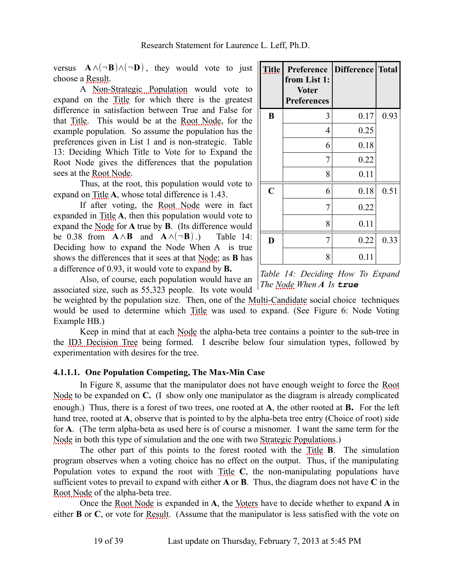versus  $\mathbf{A} \wedge (\neg \mathbf{B}) \wedge (\neg \mathbf{D})$ , they would vote to just choose a [Result.](#page-36-2)

A [Non-Strategic Population](#page-35-5) would vote to expand on the [Title](#page-37-2) for which there is the greatest difference in satisfaction between True and False for that [Title.](#page-37-2) This would be at the [Root Node,](#page-36-3) for the example population. So assume the population has the preferences given in [List 1](#page-16-2) and is non-strategic. [Table](#page-17-0) [13: Deciding Which Title to Vote for to Expand the](#page-17-0) [Root Node](#page-17-0) gives the differences that the population sees at the [Root Node.](#page-36-3)

Thus, at the root, this population would vote to expand on [Title](#page-37-2) **A**, whose total difference is 1.43.

If after voting, the [Root Node](#page-36-3) were in fact expanded in [Title](#page-37-2) **A**, then this population would vote to expand the [Node](#page-35-0) for **A** true by **B**. (Its difference would be 0.38 from  $\mathbf{A} \wedge \mathbf{B}$  and  $\mathbf{A} \wedge (\neg \mathbf{B})$  .) [Table 14:](#page-18-0) [Deciding how to expand the Node When A is true](#page-18-0) shows the differences that it sees at that [Node;](#page-35-0) as **B** has a difference of 0.93, it would vote to expand by **B.**

| <b>Title</b>            | Preference   Difference   Total<br>from List 1:<br><b>Voter</b><br><b>Preferences</b> |      |      |
|-------------------------|---------------------------------------------------------------------------------------|------|------|
| B                       | 3                                                                                     | 0.17 | 0.93 |
|                         | 4                                                                                     | 0.25 |      |
|                         | 6                                                                                     | 0.18 |      |
|                         | 7                                                                                     | 0.22 |      |
|                         | 8                                                                                     | 0.11 |      |
| $\overline{\mathbf{C}}$ | 6                                                                                     | 0.18 | 0.51 |
|                         | 7                                                                                     | 0.22 |      |
|                         | 8                                                                                     | 0.11 |      |
| D                       | 7                                                                                     | 0.22 | 0.33 |
|                         | 8                                                                                     | 0.11 |      |

<span id="page-18-0"></span>*Table 14: Deciding How To Expand*

Also, of course, each population would have an associated size, such as 55,323 people. Its vote would

*The [Node](#page-35-0) When A Is true*

be weighted by the population size. Then, one of the [Multi-Candidate](#page-35-2) social choice techniques would be used to determine which [Title](#page-37-2) was used to expand. (See [Figure 6: Node Voting](#page-16-0) [Example HB.](#page-16-0))

Keep in mind that at each [Node](#page-35-0) the alpha-beta tree contains a pointer to the sub-tree in the [ID3 Decision Tree](#page-34-4) being formed. I describe below four simulation types, followed by experimentation with desires for the tree.

#### **4.1.1.1. One Population Competing, The Max-Min Case**

In [Figure 8,](#page-19-0) assume that the manipulator does not have enough weight to force the [Root](#page-36-3) [Node](#page-36-3) to be expanded on **C.** (I show only one manipulator as the diagram is already complicated enough.) Thus, there is a forest of two trees, one rooted at **A**, the other rooted at **B.** For the left hand tree, rooted at **A**, observe that is pointed to by the alpha-beta tree entry (Choice of root) side for **A**. (The term alpha-beta as used here is of course a misnomer. I want the same term for the [Node](#page-35-0) in both this type of simulation and the one with two [Strategic Populations.](#page-37-5))

The other part of this points to the forest rooted with the [Title](#page-37-2) **B**. The simulation program observes when a voting choice has no effect on the output. Thus, if the manipulating Population votes to expand the root with [Title](#page-37-2) **C**, the non-manipulating populations have sufficient votes to prevail to expand with either **A** or **B**. Thus, the diagram does not have **C** in the [Root Node](#page-36-3) of the alpha-beta tree.

Once the [Root Node](#page-36-3) is expanded in **A**, the [Voters](#page-38-0) have to decide whether to expand **A** in either **B** or **C**, or vote for [Result.](#page-36-2) (Assume that the manipulator is less satisfied with the vote on

19 of 39 Last update on Thursday, February 7, 2013 at 5:45 PM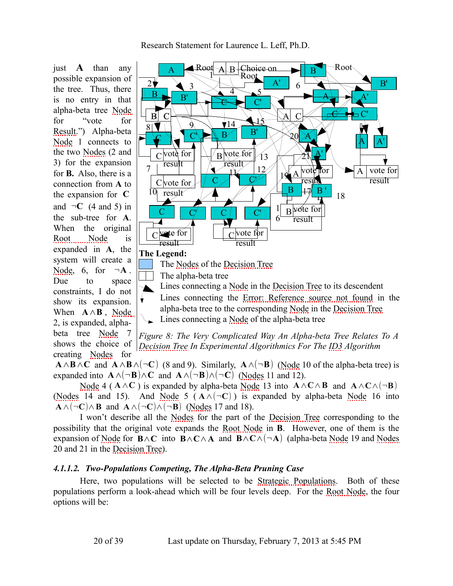[Research Statement for Laurence L. Leff, Ph.D.](#page-0-3)

just **A** than any possible expansion of the tree. Thus, there is no entry in that alpha-beta tree [Node](#page-35-0) for "vote for [Result.](#page-36-2)") Alpha-beta [Node](#page-35-0) 1 connects to the two [Nodes](#page-35-1) (2 and 3) for the expansion for **B.** Also, there is a connection from **A** to the expansion for **C** and  $\neg$ **C** (4 and 5) in the sub-tree for **A**. When the original [Root Node](#page-36-3) is expanded in **A**, the system will create a [Node,](#page-35-0) 6, for  $\neg A$ . Due to space constraints, I do not show its expansion. When **A**∧**B** , [Node](#page-35-0) 2, is expanded, alphabeta tree [Node](#page-35-0) 7 shows the choice of creating [Nodes](#page-35-1) for



<span id="page-19-1"></span><span id="page-19-0"></span>*Figure 8: The Very Complicated Way An Alpha-beta Tree Relates To A [Decision Tree](#page-33-4) In Experimental Algorithmics For The [ID3](#page-34-1) Algorithm*

**A**∧**B**∧**C** and **A**∧**B**∧(¬**C**) (8 and 9). Similarly, **A**∧(¬**B**) [\(Node](#page-35-0) 10 of the alpha-beta tree) is expanded into  $\mathbf{A} \wedge (\neg \mathbf{B}) \wedge \mathbf{C}$  and  $\mathbf{A} \wedge (\neg \mathbf{B}) \wedge (\neg \mathbf{C})$  [\(Nodes](#page-35-1) 11 and 12).

[Node](#page-35-0) 4 ( $\mathbf{A} \wedge \mathbf{C}$ ) is expanded by alpha-beta [Node](#page-35-0) 13 into  $\mathbf{A} \wedge \mathbf{C} \wedge \mathbf{B}$  and  $\mathbf{A} \wedge \mathbf{C} \wedge (\neg \mathbf{B})$ [\(Nodes](#page-35-1) 14 and 15). And [Node](#page-35-0) 5 ( $A \wedge (\neg C)$ ) is expanded by alpha-beta Node 16 into **A**∧(¬**C**)∧**B** and **A**∧(¬**C**)∧(¬**B**) [\(Nodes](#page-35-1) 17 and 18).

I won't describe all the [Nodes](#page-35-1) for the part of the [Decision Tree](#page-33-4) corresponding to the possibility that the original vote expands the [Root Node](#page-36-3) in **B**. However, one of them is the expansion of [Node](#page-35-0) for **B**∧**C** into **B**∧**C**∧**A** and **B**∧**C**∧(¬**A**) (alpha-beta [Node](#page-35-0) 19 and [Nodes](#page-35-1) 20 and 21 in the [Decision Tree\)](#page-33-4).

#### *4.1.1.2. Two-Populations Competing, The Alpha-Beta Pruning Case*

Here, two populations will be selected to be [Strategic Populations.](#page-37-5) Both of these populations perform a look-ahead which will be four levels deep. For the [Root Node,](#page-36-3) the four options will be:

20 of 39 Last update on Thursday, February 7, 2013 at 5:45 PM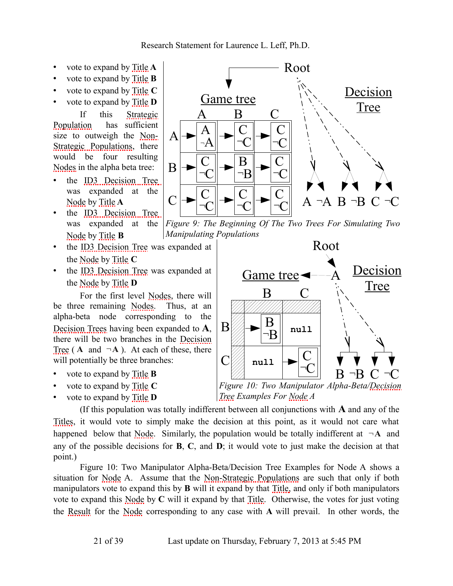- vote to expand by [Title](#page-37-2) **A**
- vote to expand by [Title](#page-37-2) **B**
- vote to expand by [Title](#page-37-2) **C**
- vote to expand by [Title](#page-37-2) **D**

If this [Strategic](#page-37-6) [Population](#page-37-6) has sufficient size to outweigh the [Non-](#page-35-6)[Strategic Populations,](#page-35-6) there would be four resulting [Nodes](#page-35-1) in the alpha beta tree:

- the [ID3 Decision Tree](#page-34-4) was expanded at the [Node](#page-35-0) by [Title](#page-37-2) **A**
- the [ID3 Decision Tree](#page-34-4) was expanded at the [Node](#page-35-0) by [Title](#page-37-2) **B**
- the [ID3 Decision Tree](#page-34-4) was expanded at the [Node](#page-35-0) by [Title](#page-37-2) **C**
- the [ID3 Decision Tree](#page-34-4) was expanded at the [Node](#page-35-0) by [Title](#page-37-2) **D**

For the first level [Nodes,](#page-35-1) there will be three remaining [Nodes.](#page-35-1) Thus, at an alpha-beta node corresponding to the [Decision Trees](#page-33-5) having been expanded to **A**, there will be two branches in the [Decision](#page-33-4) [Tree](#page-33-4)  $(A \text{ and } \neg A)$ . At each of these, there will potentially be three branches:

- vote to expand by [Title](#page-37-2) **B**
- vote to expand by [Title](#page-37-2) **C**
- vote to expand by [Title](#page-37-2) **D**



<span id="page-20-1"></span>*Figure 9: The Beginning Of The Two Trees For Simulating Two Manipulating Populations*



<span id="page-20-0"></span>

(If this population was totally indifferent between all conjunctions with **A** and any of the [Titles,](#page-37-1) it would vote to simply make the decision at this point, as it would not care what happened below that [Node.](#page-35-0) Similarly, the population would be totally indifferent at  $\neg A$  and any of the possible decisions for **B**, **C**, and **D**; it would vote to just make the decision at that point.)

[Figure 10: Two Manipulator Alpha-Beta/Decision Tree Examples for Node A](#page-20-0) shows a situation for [Node](#page-35-0) A. Assume that the [Non-Strategic Populations](#page-35-6) are such that only if both manipulators vote to expand this by **B** will it expand by that [Title,](#page-37-2) and only if both manipulators vote to expand this [Node](#page-35-0) by **C** will it expand by that [Title.](#page-37-2) Otherwise, the votes for just voting the [Result](#page-36-2) for the [Node](#page-35-0) corresponding to any case with **A** will prevail. In other words, the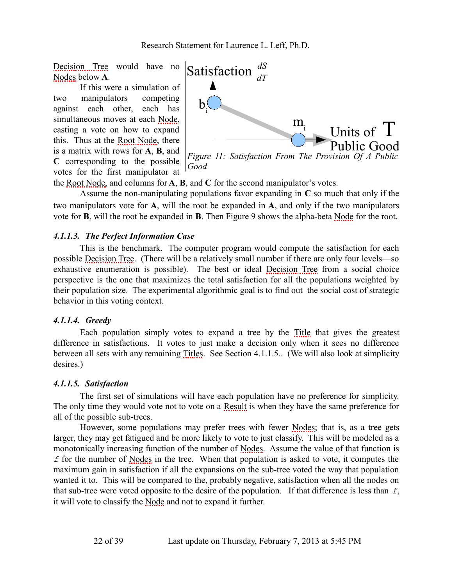[Decision Tree](#page-33-4) would have no [Nodes](#page-35-1) below **A**.

If this were a simulation of two manipulators competing against each other, each has simultaneous moves at each [Node,](#page-35-0) casting a vote on how to expand this. Thus at the [Root Node,](#page-36-3) there is a matrix with rows for **A**, **B**, and **C** corresponding to the possible votes for the first manipulator at

<span id="page-21-1"></span>

the [Root Node,](#page-36-3) and columns for **A**, **B**, and **C** for the second manipulator's votes.

Assume the non-manipulating populations favor expanding in **C** so much that only if the two manipulators vote for **A**, will the root be expanded in **A**, and only if the two manipulators vote for **B**, will the root be expanded in **B**. Then [Figure 9](#page-20-1) shows the alpha-beta [Node](#page-35-0) for the root.

#### *4.1.1.3. The Perfect Information Case*

This is the benchmark. The computer program would compute the satisfaction for each possible [Decision Tree.](#page-33-4) (There will be a relatively small number if there are only four levels—so exhaustive enumeration is possible). The best or ideal [Decision Tree](#page-33-4) from a social choice perspective is the one that maximizes the total satisfaction for all the populations weighted by their population size. The experimental algorithmic goal is to find out the social cost of strategic behavior in this voting context.

#### *4.1.1.4. Greedy*

Each population simply votes to expand a tree by the [Title](#page-37-2) that gives the greatest difference in satisfactions. It votes to just make a decision only when it sees no difference between all sets with any remaining [Titles.](#page-37-1) See Section [4.1.1.5..](#page-21-0) (We will also look at simplicity desires.)

#### <span id="page-21-0"></span>*4.1.1.5. Satisfaction*

The first set of simulations will have each population have no preference for simplicity. The only time they would vote not to vote on a [Result](#page-36-2) is when they have the same preference for all of the possible sub-trees.

However, some populations may prefer trees with fewer [Nodes;](#page-35-1) that is, as a tree gets larger, they may get fatigued and be more likely to vote to just classify. This will be modeled as a monotonically increasing function of the number of [Nodes.](#page-35-1) Assume the value of that function is *f* for the number of [Nodes](#page-35-1) in the tree. When that population is asked to vote, it computes the maximum gain in satisfaction if all the expansions on the sub-tree voted the way that population wanted it to. This will be compared to the, probably negative, satisfaction when all the nodes on that sub-tree were voted opposite to the desire of the population. If that difference is less than *f*, it will vote to classify the [Node](#page-35-0) and not to expand it further.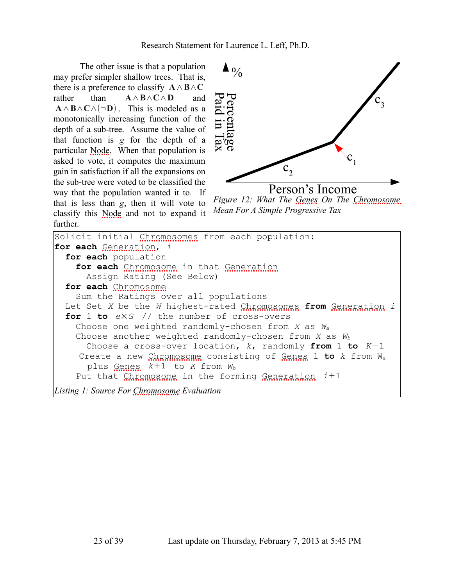The other issue is that a population may prefer simpler shallow trees. That is, there is a preference to classify **A**∧**B**∧**C** rather than **A**∧**B**∧**C**∧**D** and **A**∧**B**∧**C**∧(¬**D**). This is modeled as a monotonically increasing function of the depth of a sub-tree. Assume the value of that function is *g* for the depth of a particular [Node.](#page-35-0) When that population is asked to vote, it computes the maximum gain in satisfaction if all the expansions on the sub-tree were voted to be classified the way that the population wanted it to. If that is less than *g*, then it will vote to classify this [Node](#page-35-0) and not to expand it further.



<span id="page-22-1"></span>*Figure 12: What The [Genes](#page-34-8) On The [Chromosome](#page-32-2) Mean For A Simple Progressive Tax*

```
Solicit initial Chromosomes from each population:
for each Generation, i
 for each population
   Chromosome  Generation
     Assign Rating (See Below)
 for each Chromosome
   Sum the Ratings over all populations
 Let Set X be the W highest-rated Chromosomes from Generation i
 for 1 to e×G // the number of cross-overs
   Choose one weighted randomly-chosen from X as Wa
   Choose another weighted randomly-chosen from X as Wb
     Choose a cross-over location, k, randomly from 1 to K−1
    Create a new Chromosome consisting of Genes 1 to k from Wa
      plus Genes k+1 to K from Wb
   Put that Chromosome in the forming Generation i+1
Listing 1: Source For Chromosome Evaluation
```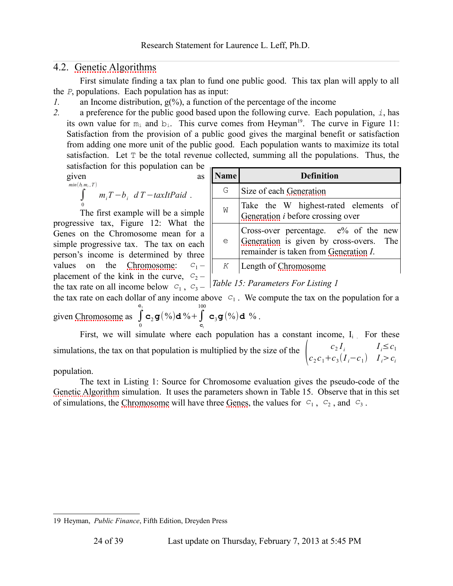### <span id="page-23-2"></span>4.2. [Genetic Algorithms](#page-34-0)

First simulate finding a tax plan to fund one public good. This tax plan will apply to all the *P*, populations. Each population has as input:

*1.* an Income distribution, g(%), a function of the percentage of the income

2. a preference for the public good based upon the following curve. Each population,  $\dot{\imath}$ , has its own value for  $m_i$  and  $b_i$ . This curve comes from Heyman<sup>[19](#page-23-1)</sup>. The curve in [Figure 11:](#page-21-1) [Satisfaction from the provision of a public good](#page-21-1) gives the marginal benefit or satisfaction from adding one more unit of the public good. Each population wants to maximize its total satisfaction. Let  $T$  be the total revenue collected, summing all the populations. Thus, the

satisfaction for this population can be given as as

$$
\int\limits_{0}^{\min(b_i,m_i,T)} m_i T - b_i \ dT - taxItPaid.
$$

The first example will be a simple progressive tax, [Figure 12: What the](#page-22-1) [Genes on the Chromosome mean for a](#page-22-1) [simple progressive tax.](#page-22-1) The tax on each person's income is determined by three values on the [Chromosome:](#page-32-2)  $c_1$ placement of the kink in the curve,  $C_2$  – the tax rate on all income below  $c_1$ ,  $c_3$  – *Table 15: Parameters For [Listing 1](#page-22-0)* 

| Name | <b>Definition</b>                                                                                                           |
|------|-----------------------------------------------------------------------------------------------------------------------------|
| G    | Size of each Generation                                                                                                     |
| W    | Take the W highest-rated elements of<br>Generation <i>i</i> before crossing over                                            |
| e    | Cross-over percentage. $e\%$ of the new<br>Generation is given by cross-overs. The<br>remainder is taken from Generation I. |
| K    | Length of Chromosome                                                                                                        |

<span id="page-23-0"></span>

the tax rate on each dollar of any income above  $c_1$ . We compute the tax on the population for a given [Chromosome](#page-32-2) as ∫ **c**1  $\mathbf{c}_2 \mathbf{g}(\%) \mathbf{d} \% + \int$ 100  $\mathbf{c}_3\mathbf{g}(\%)$ d %.

0 **c** First, we will simulate where each population has a constant income,  $I_i$ . For these simulations, the tax on that population is multiplied by the size of the  $\begin{pmatrix} c_2 I_i \\ c_2 c_1 + c_3 \end{pmatrix}$  $c_2 c_1 + c_3 (I_i - c_1)$  $I_i \leq c_1$ *I <sup>i</sup>*>*c<sup>i</sup>*

population.

The text in [Listing 1: Source for Chromosome evaluation](#page-22-0) gives the pseudo-code of the [Genetic Algorithm](#page-34-7) simulation. It uses the parameters shown in [Table 15.](#page-23-0) Observe that in this set of simulations, the [Chromosome](#page-32-2) will have three [Genes,](#page-34-8) the values for  $c_1$ ,  $c_2$ , and  $c_3$ .

<span id="page-23-1"></span><sup>19</sup> Heyman, *Public Finance*, Fifth Edition, Dreyden Press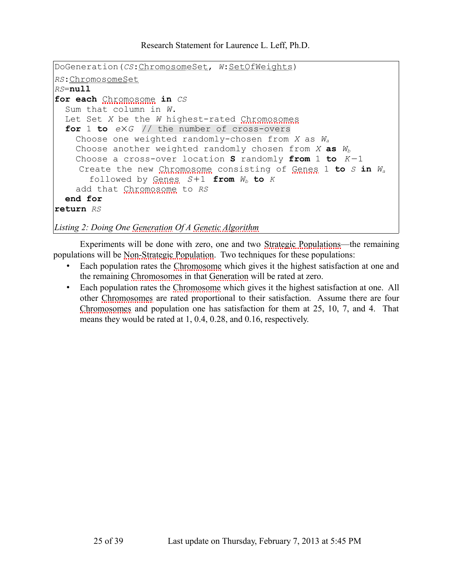```
DoGeneration(CS:ChromosomeSet, W:SetOfWeights)
RS:ChromosomeSet
RS=null
for each Chromosome in CS
  Sum that column in W.
 Let Set X be the W highest-rated Chromosomes
  for 1 to e×G // the number of cross-overs
    Choose one weighted randomly-chosen from X as Wa
    Choose another weighted randomly chosen from X as Wb
    Choose a cross-over location S randomly from 1 to K−1
    Create the new Chromosome consisting of Genes 1 to S in Wa
      followed by Genes S+1 from Wb to K
    add that Chromosome to RS
  end for
return RS
```
<span id="page-24-1"></span>*Listing 2: Doing One [Generation](#page-34-9) Of A [Genetic Algorithm](#page-34-7)*

Experiments will be done with zero, one and two [Strategic Populations—](#page-37-5)the remaining populations will be [Non-Strategic Population.](#page-35-5) Two techniques for these populations:

- Each population rates the [Chromosome](#page-32-2) which gives it the highest satisfaction at one and the remaining [Chromosomes](#page-32-3) in that [Generation](#page-34-9) will be rated at zero.
- Each population rates the [Chromosome](#page-32-2) which gives it the highest satisfaction at one. All other [Chromosomes](#page-32-3) are rated proportional to their satisfaction. Assume there are four [Chromosomes](#page-32-3) and population one has satisfaction for them at 25, 10, 7, and 4. That means they would be rated at 1, 0.4, 0.28, and 0.16, respectively.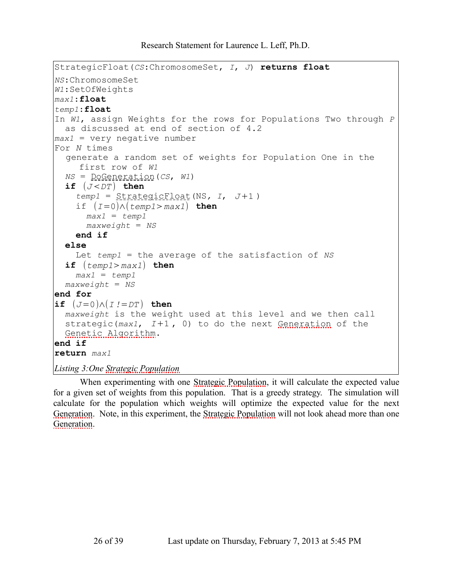```
StrategicFloat(CS:ChromosomeSet, I, J) returns float
NS:ChromosomeSet
W1:SetOfWeights
max1:float
temp1:float
In W1, assign Weights for the rows for Populations Two through P
  as discussed at end of section of 4.2
max1 = very negative number
For N times
  generate a random set of weights for Population One in the 
    first row of W1
 NS = DoGeneration(CS, W1)
  if (J < DT) then
   temp1 = StrategicFloat(NS, I, J+1 )
    if (I=0)∧(temp1>max1) then
     max1 = temp1
     maxweight = NS
   end if
  else
    Let temp1 = the average of the satisfaction of NS
  if (temp1>max1) then
   max1 = temp1
 maxweight = NS
end for
if (J=0)∧(I!=DT ) then
 maxweight is the weight used at this level and we then call 
  Generation e
 Genetic Algorithm.
end if
return max1
Listing 3:One Strategic Population
```
<span id="page-25-1"></span>When experimenting with one [Strategic Population,](#page-37-6) it will calculate the expected value for a given set of weights from this population. That is a greedy strategy. The simulation will calculate for the population which weights will optimize the expected value for the next [Generation.](#page-34-9) Note, in this experiment, the [Strategic Population](#page-37-6) will not look ahead more than one [Generation.](#page-34-9)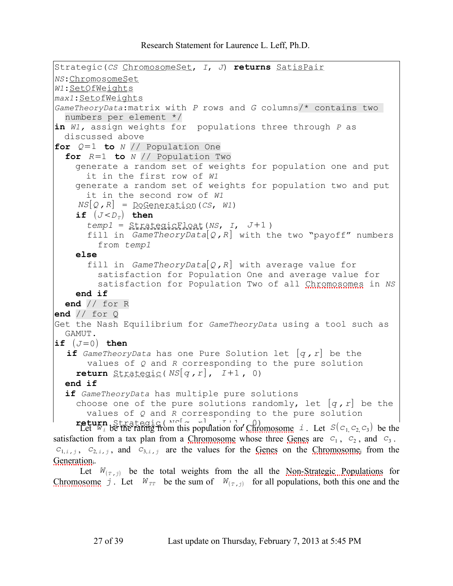```
Strategic(CS ChromosomeSet, I, J) returns SatisPair
NS:ChromosomeSet
W1:SetOfWeights
max1:SetofWeights
GameTheoryData:matrix with P rows and G columns/* contains two 
  numbers per element */
in W1, assign weights for populations three through P as 
  discussed above
for Q=1 to N // Population One
  for R=1 to N // Population Two
    generate a random set of weights for population one and put 
      it in the first row of W1
    generate a random set of weights for population two and put 
      it in the second row of W1
     NS[Q, R] = DoGenerator(CS, W1)if (J < D_T) then
      temp1 = StrategicFloat(NS, I, J+1 )
       fill in GameTheoryData[Q ,R ] with the two "payoff" numbers
         from temp1
    else
       fill in GameTheoryData[Q, R] with average value for
         satisfaction for Population One and average value for 
         satisfaction for Population Two of all Chromosomes in NS
    end if
  end // for R
end // for Q
Get the Nash Equilibrium for GameTheoryData using a tool such as 
  GAMUT.
if (J=0) then
  if GameTheoryData has one Pure Solution let [q , r] be the 
       values of Q and R corresponding to the pure solution
    return \frac{Strateqic(NS[q, r], I+1, 0)}{StrqS(q, r)}end if
  if GameTheoryData has multiple pure solutions
    choose one of the pure solutions randomly, let [q, r] be the
      values of Q and R corresponding to the pure solution
    Strategic( N_S<sup>[</sup>\alpha \alpha<sup>]</sup> \tau<sup>1</sup> \alpha<sup>0</sup>) \alpha<sub>0</sub>) \alpha<sub>0</sub>, i . Let S(c<sub>1,</sub>c<sub>2,</sub>c<sub>3</sub>) be the
 Chromosome  Genes are c_1, c_2, and c_3.
c_{1,i,j}, c_{2,i,j}, and c_{3,i,j} Genes  Chromosome<sub>i</sub> from the
Generation.
```
<span id="page-26-1"></span>Let  $W_{(\tau,i)}$  [be the t](#page-26-0)otal weights from the all the <u>Non-Strategic Populations</u> for [Chromosome](#page-32-2) *j*. Let  $W_{TT}$  be the sum of  $W_{(T, j)}$  for all populations, both this one and the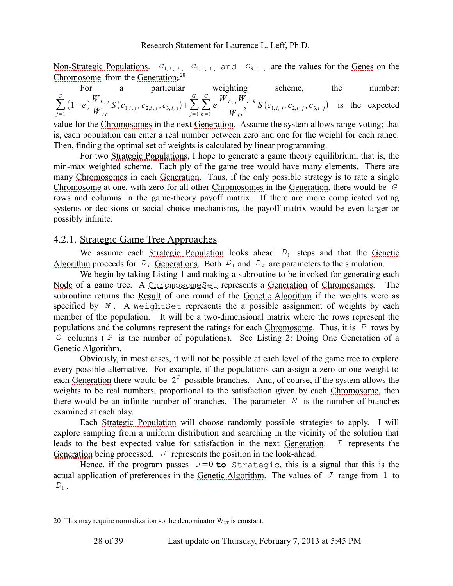[Non-Strategic Populations.](#page-35-6)  $c_{1,i,j}$ ,  $c_{2,i,j}$ , and  $c_{3,i,j}$  are the values for the [Genes](#page-34-8) on the [Chromosome](#page-32-2)<sub>i</sub> from the [Generation](#page-34-9).<sup>[20](#page-27-0)</sup>

For a particular weighting scheme, the number:  
\n
$$
\sum_{j=1}^{G} (1-e) \frac{W_{T,j}}{W_{TT}} S(c_{1,i,j}, c_{2,i,j}, c_{3,i,j}) + \sum_{j=1}^{G} \sum_{k=1}^{G} e \frac{W_{T,j} W_{T,k}}{W_{TT}} S(c_{1,i,j}, c_{2,i,j}, c_{3,i,j})
$$
 is the expected

value for the [Chromosomes](#page-32-3) in the next [Generation.](#page-34-9) Assume the system allows range-voting; that is, each population can enter a real number between zero and one for the weight for each range. Then, finding the optimal set of weights is calculated by linear programming.

For two [Strategic Populations,](#page-37-5) I hope to generate a game theory equilibrium, that is, the min-max weighted scheme. Each ply of the game tree would have many elements. There are many [Chromosomes](#page-32-3) in each [Generation.](#page-34-9) Thus, if the only possible strategy is to rate a single [Chromosome](#page-32-2) at one, with zero for all other [Chromosomes](#page-32-3) in the [Generation,](#page-34-9) there would be *G* rows and columns in the game-theory payoff matrix. If there are more complicated voting systems or decisions or social choice mechanisms, the payoff matrix would be even larger or possibly infinite.

#### 4.2.1. Strategic Game Tree Approaches

We assume each [Strategic Population](#page-37-6) looks ahead  $D_1$  steps and that the [Genetic](#page-34-7) [Algorithm](#page-34-7) proceeds for  $D_T$  [Generations.](#page-34-12) Both  $D_1$  and  $D_T$  are parameters to the simulation.

We begin by taking [Listing 1](#page-22-0) and making a subroutine to be invoked for generating each [Node](#page-35-0) of a game tree. A ChromosomeSet represents a [Generation](#page-34-9) of [Chromosomes.](#page-32-3) The subroutine returns the [Result](#page-36-2) of one round of the [Genetic Algorithm](#page-34-7) if the weights were as specified by  $W$ . A WeightSet represents the a possible assignment of weights by each member of the population. It will be a two-dimensional matrix where the rows represent the populations and the columns represent the ratings for each [Chromosome.](#page-32-2) Thus, it is *P* rows by *G* columns ( *P* is the number of populations). See [Listing 2: Doing One Generation of a](#page-24-1) [Genetic Algorithm.](#page-24-1)

Obviously, in most cases, it will not be possible at each level of the game tree to explore every possible alternative. For example, if the populations can assign a zero or one weight to each [Generation](#page-34-9) there would be  $2<sup>G</sup>$  possible branches. And, of course, if the system allows the weights to be real numbers, proportional to the satisfaction given by each [Chromosome,](#page-32-2) then there would be an infinite number of branches. The parameter  $N$  is the number of branches examined at each play.

Each [Strategic Population](#page-37-6) will choose randomly possible strategies to apply. I will explore sampling from a uniform distribution and searching in the vicinity of the solution that leads to the best expected value for satisfaction in the next [Generation.](#page-34-9) *I* represents the [Generation](#page-34-9) being processed.  $J$  represents the position in the look-ahead.

Hence, if the program passes  $J=0$  to Strategic, this is a signal that this is the actual application of preferences in the [Genetic Algorithm.](#page-34-7) The values of  $J$  range from 1 to  $D_1$ .

<span id="page-27-0"></span><sup>20</sup> This may require normalization so the denominator  $W_{TT}$  is constant.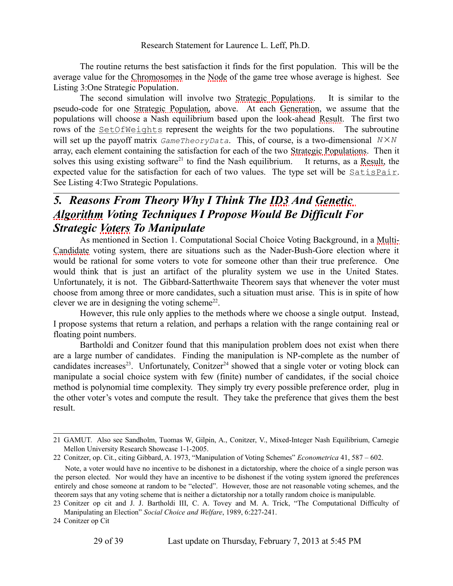The routine returns the best satisfaction it finds for the first population. This will be the average value for the [Chromosomes](#page-32-3) in the [Node](#page-35-0) of the game tree whose average is highest. See [Listing 3:One Strategic Population.](#page-25-1)

The second simulation will involve two [Strategic Populations.](#page-37-5) It is similar to the pseudo-code for one [Strategic Population,](#page-37-6) above. At each [Generation,](#page-34-9) we assume that the populations will choose a Nash equilibrium based upon the look-ahead [Result.](#page-36-2) The first two rows of the <u>SetOfWeights</u> represent the weights for the two populations. The subroutine will set up the payoff matrix *GameTheoryData*. This, of course, is a two-dimensional *N*×*N* array, each element containing the satisfaction for each of the two [Strategic Populations.](#page-37-5) Then it solves this using existing software<sup>[21](#page-28-0)</sup> to find the Nash equilibrium. It returns, as a [Result,](#page-36-2) the expected value for the satisfaction for each of two values. The type set will be SatisPair. See [Listing 4:Two Strategic Populations.](#page-26-1)

### *5. Reasons From Theory Why I Think The [ID3](#page-34-1) And [Genetic](#page-34-7)  [Algorithm](#page-34-7) Voting Techniques I Propose Would Be Difficult For Strategic [Voters](#page-38-0) To Manipulate*

As mentioned in Section [1.](#page-2-4) [Computational Social Choice Voting Background,](#page-2-4) in a [Multi-](#page-35-2)[Candidate](#page-35-2) voting system, there are situations such as the Nader-Bush-Gore election where it would be rational for some voters to vote for someone other than their true preference. One would think that is just an artifact of the plurality system we use in the United States. Unfortunately, it is not. The Gibbard-Satterthwaite Theorem says that whenever the voter must choose from among three or more candidates, such a situation must arise. This is in spite of how clever we are in designing the voting scheme $2^2$ .

However, this rule only applies to the methods where we choose a single output. Instead, I propose systems that return a relation, and perhaps a relation with the range containing real or floating point numbers.

Bartholdi and Conitzer found that this manipulation problem does not exist when there are a large number of candidates. Finding the manipulation is NP-complete as the number of candidates increases<sup>[23](#page-28-2)</sup>. Unfortunately, Conitzer<sup>[24](#page-28-3)</sup> showed that a single voter or voting block can manipulate a social choice system with few (finite) number of candidates, if the social choice method is polynomial time complexity. They simply try every possible preference order, plug in the other voter's votes and compute the result. They take the preference that gives them the best result.

<span id="page-28-0"></span><sup>21</sup> GAMUT. Also see Sandholm, Tuomas W, Gilpin, A., Conitzer, V., Mixed-Integer Nash Equilibrium, Carnegie Mellon University Research Showcase 1-1-2005.

<span id="page-28-1"></span><sup>22</sup> Conitzer, op. Cit., citing Gibbard, A. 1973, "Manipulation of Voting Schemes" *Econometrica* 41, 587 – 602.

Note, a voter would have no incentive to be dishonest in a dictatorship, where the choice of a single person was the person elected. Nor would they have an incentive to be dishonest if the voting system ignored the preferences entirely and chose someone at random to be "elected". However, those are not reasonable voting schemes, and the theorem says that any voting scheme that is neither a dictatorship nor a totally random choice is manipulable.

<span id="page-28-2"></span><sup>23</sup> Conitzer op cit and J. J. Bartholdi III, C. A. Tovey and M. A. Trick, "The Computational Difficulty of Manipulating an Election" *Social Choice and Welfare*, 1989, 6:227-241.

<span id="page-28-3"></span><sup>24</sup> Conitzer op Cit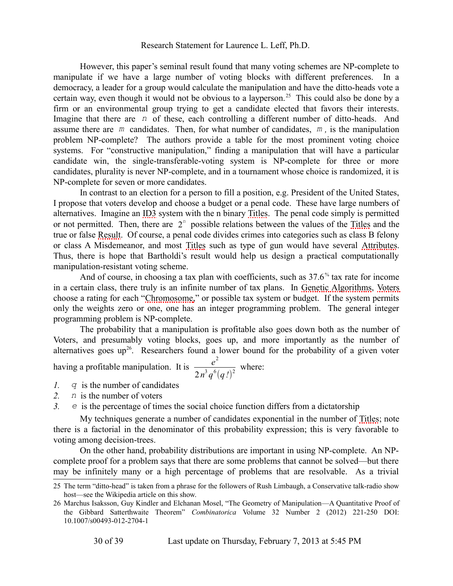However, this paper's seminal result found that many voting schemes are NP-complete to manipulate if we have a large number of voting blocks with different preferences. In a democracy, a leader for a group would calculate the manipulation and have the ditto-heads vote a certain way, even though it would not be obvious to a layperson.<sup>[25](#page-29-0)</sup> This could also be done by a firm or an environmental group trying to get a candidate elected that favors their interests. Imagine that there are *n* of these, each controlling a different number of ditto-heads. And assume there are *m* candidates. Then, for what number of candidates, *m ,* is the manipulation problem NP-complete? The authors provide a table for the most prominent voting choice systems. For "constructive manipulation," finding a manipulation that will have a particular candidate win, the single-transferable-voting system is NP-complete for three or more candidates, plurality is never NP-complete, and in a tournament whose choice is randomized, it is NP-complete for seven or more candidates.

In contrast to an election for a person to fill a position, e.g. President of the United States, I propose that voters develop and choose a budget or a penal code. These have large numbers of alternatives. Imagine an [ID3](#page-34-1) system with the n binary [Titles.](#page-37-1) The penal code simply is permitted or not permitted. Then, there are  $2<sup>n</sup>$  possible relations between the values of the [Titles](#page-37-1) and the true or false [Result.](#page-36-2) Of course, a penal code divides crimes into categories such as class B felony or class A Misdemeanor, and most [Titles](#page-37-1) such as type of gun would have several [Attributes.](#page-32-1) Thus, there is hope that Bartholdi's result would help us design a practical computationally manipulation-resistant voting scheme.

And of course, in choosing a tax plan with coefficients, such as 37.6<sup>%</sup> tax rate for income in a certain class, there truly is an infinite number of tax plans. In [Genetic Algorithms,](#page-34-0) [Voters](#page-38-0) choose a rating for each "Chromosome," or possible tax system or budget. If the system permits only the weights zero or one, one has an integer programming problem. The general integer programming problem is NP-complete.

The probability that a manipulation is profitable also goes down both as the number of [Voters,](#page-38-0) and presumably voting blocks, goes up, and more importantly as the number of alternatives goes  $up^{26}$  $up^{26}$  $up^{26}$ . Researchers found a lower bound for the probability of a given voter

$$
\frac{e^2}{2n^3q^6(q!)^2}
$$
 where:

*1. q* is the number of candidates

having a profitable manipulation. It is

- *2. n* is the number of voters
- *3. e* is the percentage of times the social choice function differs from a dictatorship

My techniques generate a number of candidates exponential in the number of [Titles;](#page-37-1) note there is a factorial in the denominator of this probability expression; this is very favorable to voting among decision-trees.

On the other hand, probability distributions are important in using NP-complete. An NPcomplete proof for a problem says that there are some problems that cannot be solved—but there may be infinitely many or a high percentage of problems that are resolvable. As a trivial

<span id="page-29-0"></span><sup>25</sup> The term "ditto-head" is taken from a phrase for the followers of Rush Limbaugh, a Conservative talk-radio show host—see the Wikipedia article on this show.

<span id="page-29-1"></span><sup>26</sup> Marchus Isaksson, Guy Kindler and Elchanan Mosel, "The Geometry of Manipulation—A Quantitative Proof of the Gibbard Satterthwaite Theorem" *Combinatorica* Volume 32 Number 2 (2012) 221-250 DOI: 10.1007/s00493-012-2704-1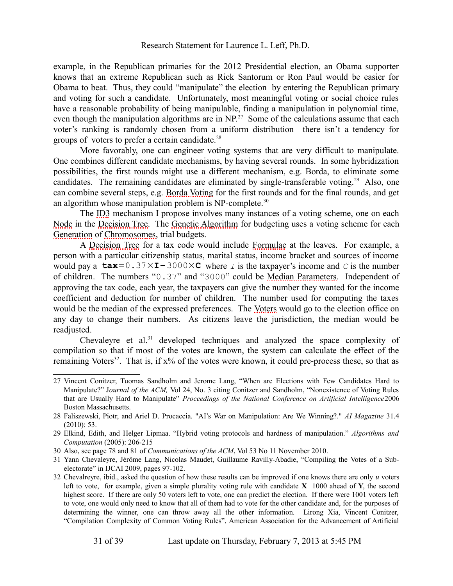example, in the Republican primaries for the 2012 Presidential election, an Obama supporter knows that an extreme Republican such as Rick Santorum or Ron Paul would be easier for Obama to beat. Thus, they could "manipulate" the election by entering the Republican primary and voting for such a candidate. Unfortunately, most meaningful voting or social choice rules have a reasonable probability of being manipulable, finding a manipulation in polynomial time, even though the manipulation algorithms are in NP.<sup>[27](#page-30-0)</sup> Some of the calculations assume that each voter's ranking is randomly chosen from a uniform distribution—there isn't a tendency for groups of voters to prefer a certain candidate. $^{28}$  $^{28}$  $^{28}$ 

More favorably, one can engineer voting systems that are very difficult to manipulate. One combines different candidate mechanisms, by having several rounds. In some hybridization possibilities, the first rounds might use a different mechanism, e.g. Borda, to eliminate some candidates. The remaining candidates are eliminated by single-transferable voting.<sup>[29](#page-30-2)</sup> Also, one can combine several steps, e.g. [Borda Voting](#page-32-7) for the first rounds and for the final rounds, and get an algorithm whose manipulation problem is NP-complete.<sup>[30](#page-30-3)</sup>

The [ID3](#page-34-1) mechanism I propose involves many instances of a voting scheme, one on each [Node](#page-35-0) in the [Decision Tree.](#page-33-4) The [Genetic Algorithm](#page-34-7) for budgeting uses a voting scheme for each [Generation](#page-34-9) of [Chromosomes,](#page-32-3) trial budgets.

A [Decision Tree](#page-33-4) for a tax code would include [Formulae](#page-34-5) at the leaves. For example, a person with a particular citizenship status, marital status, income bracket and sources of income would pay a  $\text{tax}=0.37\times\text{I}-3000\times\text{C}$  where *I* is the taxpayer's income and *C* is the number of children. The numbers "0.37" and "3000" could be [Median Parameters.](#page-35-3) Independent of approving the tax code, each year, the taxpayers can give the number they wanted for the income coefficient and deduction for number of children. The number used for computing the taxes would be the median of the expressed preferences. The [Voters](#page-38-0) would go to the election office on any day to change their numbers. As citizens leave the jurisdiction, the median would be readjusted.

Chevaleyre et al.<sup>[31](#page-30-4)</sup> developed techniques and analyzed the space complexity of compilation so that if most of the votes are known, the system can calculate the effect of the remaining [Voters](#page-38-0)<sup>[32](#page-30-5)</sup>. That is, if  $x\%$  of the votes were known, it could pre-process these, so that as

<span id="page-30-0"></span><sup>27</sup> Vincent Conitzer, Tuomas Sandholm and Jerome Lang, "When are Elections with Few Candidates Hard to Manipulate?" J*ournal of the ACM,* Vol 24, No. 3 citing Conitzer and Sandholm, "Nonexistence of Voting Rules that are Usually Hard to Manipulate" *Proceedings of the National Conference on Artificial Intelligence*2006 Boston Massachusetts.

<span id="page-30-1"></span><sup>28</sup> Faliszewski, Piotr, and Ariel D. Procaccia. "AI's War on Manipulation: Are We Winning?." *AI Magazine* 31.4 (2010): 53.

<span id="page-30-2"></span><sup>29</sup> Elkind, Edith, and Helger Lipmaa. "Hybrid voting protocols and hardness of manipulation." *Algorithms and Computation* (2005): 206-215

<span id="page-30-3"></span><sup>30</sup> Also, see page 78 and 81 of *Communications of the ACM*, Vol 53 No 11 November 2010.

<span id="page-30-4"></span><sup>31</sup> Yann Chevaleyre, Jérôme Lang, Nicolas Maudet, Guillaume Ravilly-Abadie, "Compiling the Votes of a Subelectorate" in IJCAI 2009, pages 97-102.

<span id="page-30-5"></span><sup>32</sup> Chevalreyre, ibid., asked the question of how these results can be improved if one knows there are only *u* voters left to vote, for example, given a simple plurality voting rule with candidate **X** 1000 ahead of **Y**, the second highest score. If there are only 50 voters left to vote, one can predict the election. If there were 1001 voters left to vote, one would only need to know that all of them had to vote for the other candidate and, for the purposes of determining the winner, one can throw away all the other information. Lirong Xia, Vincent Conitzer, "Compilation Complexity of Common Voting Rules", American Association for the Advancement of Artificial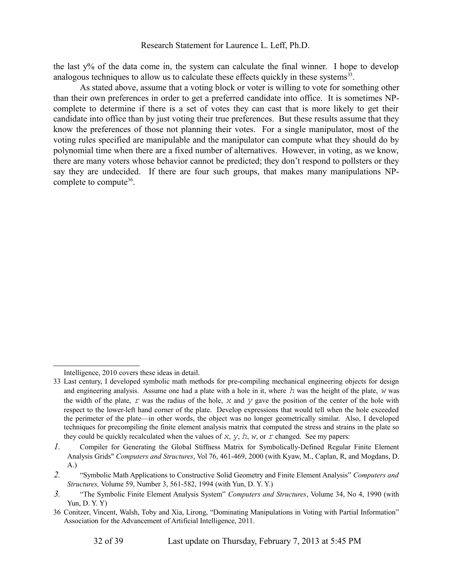the last y% of the data come in, the system can calculate the final winner. I hope to develop analogous techniques to allow us to calculate these effects quickly in these systems $33$ .

As stated above, assume that a voting block or voter is willing to vote for something other than their own preferences in order to get a preferred candidate into office. It is sometimes NPcomplete to determine if there is a set of votes they can cast that is more likely to get their candidate into office than by just voting their true preferences. But these results assume that they know the preferences of those not planning their votes. For a single manipulator, most of the voting rules specified are manipulable and the manipulator can compute what they should do by polynomial time when there are a fixed number of alternatives. However, in voting, as we know, there are many voters whose behavior cannot be predicted; they don't respond to pollsters or they say they are undecided. If there are four such groups, that makes many manipulations NP-complete to compute<sup>[36](#page-31-1)</sup>.

<span id="page-31-0"></span>Intelligence, 2010 covers these ideas in detail.

<sup>33</sup> Last century, I developed symbolic math methods for pre-compiling mechanical engineering objects for design and engineering analysis. Assume one had a plate with a hole in it, where *h* was the height of the plate, *w* was the width of the plate, *r* was the radius of the hole, *x* and *y* gave the position of the center of the hole with respect to the lower-left hand corner of the plate. Develop expressions that would tell when the hole exceeded the perimeter of the plate—in other words, the object was no longer geometrically similar. Also, I developed techniques for precompiling the finite element analysis matrix that computed the stress and strains in the plate so they could be quickly recalculated when the values of *x*, *y*, *h*, *w*, or *r* changed. See my papers:

*<sup>1.</sup>* Compiler for Generating the Global Stiffness Matrix for Symbolically-Defined Regular Finite Element Analysis Grids" *Computers and Structures*, Vol 76, 461-469, 2000 (with Kyaw, M., Caplan, R, and Mogdans, D. A.)

*<sup>2.</sup>* "Symbolic Math Applications to Constructive Solid Geometry and Finite Element Analysis" *Computers and Structures,* Volume 59, Number 3, 561-582, 1994 (with Yun, D. Y. Y.)

*<sup>3.</sup>* "The Symbolic Finite Element Analysis System" *Computers and Structures*, Volume 34, No 4, 1990 (with Yun, D. Y. Y)

<span id="page-31-1"></span><sup>36</sup> Conitzer, Vincent, Walsh, Toby and Xia, Lirong, "Dominating Manipulations in Voting with Partial Information" Association for the Advancement of Artificial Intelligence, 2011.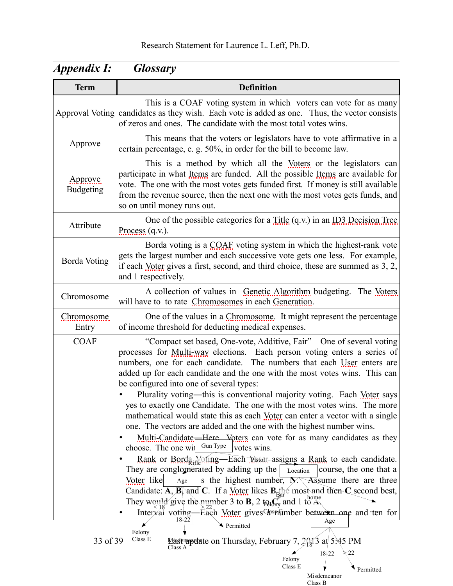<span id="page-32-9"></span><span id="page-32-8"></span><span id="page-32-7"></span><span id="page-32-6"></span><span id="page-32-5"></span><span id="page-32-4"></span><span id="page-32-3"></span><span id="page-32-2"></span><span id="page-32-1"></span><span id="page-32-0"></span>

| <b>Term</b>                  | <b>Definition</b>                                                                                                                                                                                                                                                                                                                                                                                                                                                                                                                                                                                                                                                                                                                                                                                                                                                                                                                                                                                                                                                                                                                                                                                                                                                                                                                              |
|------------------------------|------------------------------------------------------------------------------------------------------------------------------------------------------------------------------------------------------------------------------------------------------------------------------------------------------------------------------------------------------------------------------------------------------------------------------------------------------------------------------------------------------------------------------------------------------------------------------------------------------------------------------------------------------------------------------------------------------------------------------------------------------------------------------------------------------------------------------------------------------------------------------------------------------------------------------------------------------------------------------------------------------------------------------------------------------------------------------------------------------------------------------------------------------------------------------------------------------------------------------------------------------------------------------------------------------------------------------------------------|
|                              | This is a COAF voting system in which voters can vote for as many<br>Approval Voting candidates as they wish. Each vote is added as one. Thus, the vector consists<br>of zeros and ones. The candidate with the most total votes wins.                                                                                                                                                                                                                                                                                                                                                                                                                                                                                                                                                                                                                                                                                                                                                                                                                                                                                                                                                                                                                                                                                                         |
| Approve                      | This means that the voters or legislators have to vote affirmative in a<br>certain percentage, e. g. 50%, in order for the bill to become law.                                                                                                                                                                                                                                                                                                                                                                                                                                                                                                                                                                                                                                                                                                                                                                                                                                                                                                                                                                                                                                                                                                                                                                                                 |
| Approve.<br><b>Budgeting</b> | This is a method by which all the Voters or the legislators can<br>participate in what Items are funded. All the possible Items are available for<br>vote. The one with the most votes gets funded first. If money is still available<br>from the revenue source, then the next one with the most votes gets funds, and<br>so on until money runs out.                                                                                                                                                                                                                                                                                                                                                                                                                                                                                                                                                                                                                                                                                                                                                                                                                                                                                                                                                                                         |
| Attribute                    | One of the possible categories for a Title $(q.v.)$ in an ID3 Decision Tree<br>Process $(q.v.)$ .                                                                                                                                                                                                                                                                                                                                                                                                                                                                                                                                                                                                                                                                                                                                                                                                                                                                                                                                                                                                                                                                                                                                                                                                                                              |
| <b>Borda Voting</b>          | Borda voting is a COAF voting system in which the highest-rank vote<br>gets the largest number and each successive vote gets one less. For example,<br>if each Voter gives a first, second, and third choice, these are summed as 3, 2,<br>and 1 respectively.                                                                                                                                                                                                                                                                                                                                                                                                                                                                                                                                                                                                                                                                                                                                                                                                                                                                                                                                                                                                                                                                                 |
| Chromosome                   | A collection of values in Genetic Algorithm budgeting. The Voters<br>will have to to rate Chromosomes in each Generation.                                                                                                                                                                                                                                                                                                                                                                                                                                                                                                                                                                                                                                                                                                                                                                                                                                                                                                                                                                                                                                                                                                                                                                                                                      |
| Chromosome<br>Entry          | One of the values in a Chromosome. It might represent the percentage<br>of income threshold for deducting medical expenses.                                                                                                                                                                                                                                                                                                                                                                                                                                                                                                                                                                                                                                                                                                                                                                                                                                                                                                                                                                                                                                                                                                                                                                                                                    |
| <b>COAF</b>                  | "Compact set based, One-vote, Additive, Fair"-One of several voting<br>processes for Multi-way elections. Each person voting enters a series of<br>numbers, one for each candidate. The numbers that each User enters are<br>added up for each candidate and the one with the most votes wins. This can<br>be configured into one of several types:<br>Plurality voting-this is conventional majority voting. Each Voter says<br>yes to exactly one Candidate. The one with the most votes wins. The more<br>mathematical would state this as each Voter can enter a vector with a single<br>one. The vectors are added and the one with the highest number wins.<br>Multi-Candidate—Here Voters can vote for as many candidates as they<br>Gun Type<br>choose. The one wil<br>votes wins.<br>Rank or Borda Voting—Each Vistor assigns a Rank to each candidate.<br>They are conglomerated by adding up the<br>course, the one that a<br>Location<br>Voter like<br>s the highest number, $\overline{N}$ Assume there are three<br>Age<br>Candidate: $\overline{A,B}$ and C. If a Voter likes $B_{\text{bar}}$ most and then C second best,<br>They would give the number 3 to <b>B</b> , 2 $_{\text{Rilm}}^{\text{max}}$ and 1 to $_{\text{Rilm}}^{\text{hom}}$<br>Interval voting—Each Voter gives Casnumber between one and ten for<br>18-22 |
| 33 of 39                     | Age<br>Permitted<br>Felony<br>Class E<br><b>Mast update on Thursday, February 7, 2013 at 5:45 PM</b><br>Class A<br>22                                                                                                                                                                                                                                                                                                                                                                                                                                                                                                                                                                                                                                                                                                                                                                                                                                                                                                                                                                                                                                                                                                                                                                                                                          |
|                              | 18-22<br>Felony<br>Class E<br>Permitted                                                                                                                                                                                                                                                                                                                                                                                                                                                                                                                                                                                                                                                                                                                                                                                                                                                                                                                                                                                                                                                                                                                                                                                                                                                                                                        |

Misdemeanor Class B

# *Appendix I: Glossary*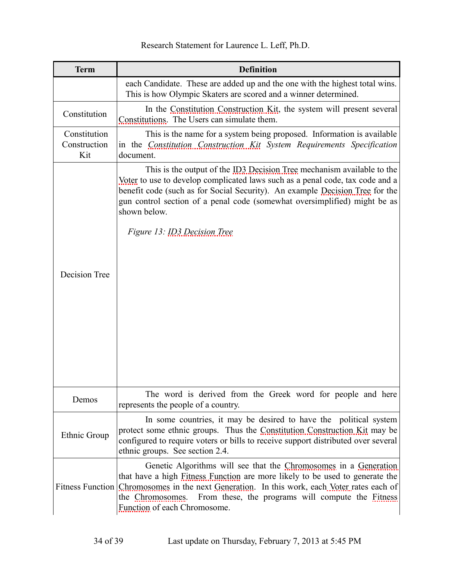<span id="page-33-9"></span>

| Research Statement for Laurence L. Leff, Ph.D. |
|------------------------------------------------|
|------------------------------------------------|

<span id="page-33-10"></span><span id="page-33-8"></span><span id="page-33-7"></span><span id="page-33-6"></span><span id="page-33-5"></span><span id="page-33-4"></span><span id="page-33-3"></span><span id="page-33-2"></span><span id="page-33-1"></span><span id="page-33-0"></span>

| <b>Term</b>                         | <b>Definition</b>                                                                                                                                                                                                                                                                                                                                        |
|-------------------------------------|----------------------------------------------------------------------------------------------------------------------------------------------------------------------------------------------------------------------------------------------------------------------------------------------------------------------------------------------------------|
|                                     | each Candidate. These are added up and the one with the highest total wins.<br>This is how Olympic Skaters are scored and a winner determined.                                                                                                                                                                                                           |
| Constitution                        | In the Constitution Construction Kit, the system will present several<br>Constitutions. The Users can simulate them.                                                                                                                                                                                                                                     |
| Constitution<br>Construction<br>Kit | This is the name for a system being proposed. Information is available<br>in the Constitution Construction Kit System Requirements Specification<br>document.                                                                                                                                                                                            |
|                                     | This is the output of the ID3 Decision Tree mechanism available to the<br>Voter to use to develop complicated laws such as a penal code, tax code and a<br>benefit code (such as for Social Security). An example Decision Tree for the<br>gun control section of a penal code (somewhat oversimplified) might be as<br>shown below.                     |
|                                     | Figure 13: ID3 Decision Tree                                                                                                                                                                                                                                                                                                                             |
| Decision Tree                       |                                                                                                                                                                                                                                                                                                                                                          |
|                                     |                                                                                                                                                                                                                                                                                                                                                          |
| Demos                               | The word is derived from the Greek word for people and here<br>represents the people of a country.                                                                                                                                                                                                                                                       |
| Ethnic Group                        | In some countries, it may be desired to have the political system<br>protect some ethnic groups. Thus the Constitution Construction Kit may be<br>configured to require voters or bills to receive support distributed over several<br>ethnic groups. See section 2.4.                                                                                   |
|                                     | Genetic Algorithms will see that the Chromosomes in a Generation<br>that have a high Fitness Function are more likely to be used to generate the<br>Fitness Function Chromosomes in the next Generation. In this work, each Voter rates each of<br>From these, the programs will compute the Fitness<br>the Chromosomes.<br>Function of each Chromosome. |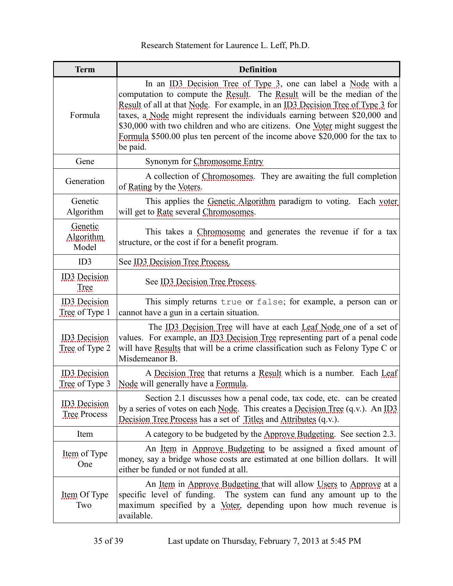<span id="page-34-14"></span><span id="page-34-13"></span><span id="page-34-12"></span><span id="page-34-11"></span><span id="page-34-10"></span><span id="page-34-9"></span><span id="page-34-8"></span><span id="page-34-7"></span><span id="page-34-6"></span><span id="page-34-5"></span><span id="page-34-4"></span><span id="page-34-3"></span><span id="page-34-2"></span><span id="page-34-1"></span><span id="page-34-0"></span>

| <b>Term</b>                                | <b>Definition</b>                                                                                                                                                                                                                                                                                                                                                                                                                                                                      |
|--------------------------------------------|----------------------------------------------------------------------------------------------------------------------------------------------------------------------------------------------------------------------------------------------------------------------------------------------------------------------------------------------------------------------------------------------------------------------------------------------------------------------------------------|
| Formula                                    | In an ID3 Decision Tree of Type 3, one can label a Node with a<br>computation to compute the Result. The Result will be the median of the<br>Result of all at that Node. For example, in an ID3 Decision Tree of Type 3 for<br>taxes, a Node might represent the individuals earning between \$20,000 and<br>\$30,000 with two children and who are citizens. One Voter might suggest the<br>Formula \$500.00 plus ten percent of the income above \$20,000 for the tax to<br>be paid. |
| Gene                                       | Synonym for Chromosome Entry                                                                                                                                                                                                                                                                                                                                                                                                                                                           |
| Generation                                 | A collection of Chromosomes. They are awaiting the full completion<br>of Rating by the Voters.                                                                                                                                                                                                                                                                                                                                                                                         |
| Genetic<br>Algorithm                       | This applies the Genetic Algorithm paradigm to voting. Each voter<br>will get to Rate several Chromosomes.                                                                                                                                                                                                                                                                                                                                                                             |
| Genetic<br>Algorithm<br>Model              | This takes a Chromosome and generates the revenue if for a tax<br>structure, or the cost if for a benefit program.                                                                                                                                                                                                                                                                                                                                                                     |
| ID3                                        | See ID3 Decision Tree Process.                                                                                                                                                                                                                                                                                                                                                                                                                                                         |
| <b>ID3</b> Decision<br><b>Tree</b>         | See ID3 Decision Tree Process.                                                                                                                                                                                                                                                                                                                                                                                                                                                         |
| <b>ID3</b> Decision<br>Tree of Type 1      | This simply returns true or false; for example, a person can or<br>cannot have a gun in a certain situation.                                                                                                                                                                                                                                                                                                                                                                           |
| <b>ID3</b> Decision<br>Tree of Type 2      | The ID3 Decision Tree will have at each Leaf Node one of a set of<br>values. For example, an ID3 Decision Tree representing part of a penal code<br>will have Results that will be a crime classification such as Felony Type C or<br>Misdemeanor B.                                                                                                                                                                                                                                   |
| <b>ID3</b> Decision<br>Tree of Type 3      | A Decision Tree that returns a Result which is a number. Each Leaf<br>Node will generally have a Formula.                                                                                                                                                                                                                                                                                                                                                                              |
| <b>ID3</b> Decision<br><b>Tree Process</b> | Section 2.1 discusses how a penal code, tax code, etc. can be created<br>by a series of votes on each Node. This creates a Decision Tree $(q.v.)$ . An ID3<br>Decision Tree Process has a set of Titles and Attributes (q.v.).                                                                                                                                                                                                                                                         |
| Item                                       | A category to be budgeted by the Approve Budgeting. See section 2.3.                                                                                                                                                                                                                                                                                                                                                                                                                   |
| Item of Type<br>One                        | An <u>Item</u> in Approve Budgeting to be assigned a fixed amount of<br>money, say a bridge whose costs are estimated at one billion dollars. It will<br>either be funded or not funded at all.                                                                                                                                                                                                                                                                                        |
| Item Of Type<br>Two                        | An Item in Approve Budgeting that will allow Users to Approve at a<br>specific level of funding. The system can fund any amount up to the<br>maximum specified by a Voter, depending upon how much revenue is<br>available.                                                                                                                                                                                                                                                            |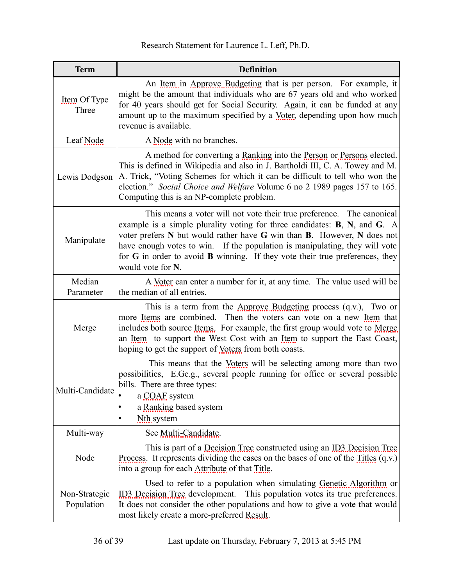[Research Statement for Laurence L. Leff, Ph.D.](#page-0-3)

<span id="page-35-10"></span><span id="page-35-9"></span><span id="page-35-8"></span><span id="page-35-7"></span><span id="page-35-6"></span><span id="page-35-5"></span><span id="page-35-4"></span><span id="page-35-3"></span><span id="page-35-2"></span><span id="page-35-1"></span><span id="page-35-0"></span>

| <b>Term</b>                 | <b>Definition</b>                                                                                                                                                                                                                                                                                                                                                                                                              |
|-----------------------------|--------------------------------------------------------------------------------------------------------------------------------------------------------------------------------------------------------------------------------------------------------------------------------------------------------------------------------------------------------------------------------------------------------------------------------|
| Item Of Type<br>Three       | An Item in Approve Budgeting that is per person. For example, it<br>might be the amount that individuals who are 67 years old and who worked<br>for 40 years should get for Social Security. Again, it can be funded at any<br>amount up to the maximum specified by a Voter, depending upon how much<br>revenue is available.                                                                                                 |
| Leaf Node                   | A Node with no branches.                                                                                                                                                                                                                                                                                                                                                                                                       |
| Lewis Dodgson               | A method for converting a Ranking into the Person or Persons elected.<br>This is defined in Wikipedia and also in J. Bartholdi III, C. A. Towey and M.<br>A. Trick, "Voting Schemes for which it can be difficult to tell who won the<br>election." Social Choice and Welfare Volume 6 no 2 1989 pages 157 to 165.<br>Computing this is an NP-complete problem.                                                                |
| Manipulate                  | This means a voter will not vote their true preference. The canonical<br>example is a simple plurality voting for three candidates: $B$ , $N$ , and $G$ . A<br>voter prefers N but would rather have G win than B. However, N does not<br>have enough votes to win. If the population is manipulating, they will vote<br>for $G$ in order to avoid $B$ winning. If they vote their true preferences, they<br>would vote for N. |
| Median<br>Parameter         | A Voter can enter a number for it, at any time. The value used will be<br>the median of all entries.                                                                                                                                                                                                                                                                                                                           |
| Merge                       | This is a term from the Approve Budgeting process $(q.v.)$ , Two or<br>more Items are combined. Then the voters can vote on a new Item that<br>includes both source Items. For example, the first group would vote to Merge<br>an <u>Item</u> to support the West Cost with an Item to support the East Coast,<br>hoping to get the support of <u>Voters</u> from both coasts.                                                 |
| Multi-Candidate             | This means that the Voters will be selecting among more than two<br>possibilities, E.Ge.g., several people running for office or several possible<br>bills. There are three types:<br>a COAF system<br>a Ranking based system<br>Nth system<br>٠                                                                                                                                                                               |
| Multi-way                   | See Multi-Candidate.                                                                                                                                                                                                                                                                                                                                                                                                           |
| Node                        | This is part of a Decision Tree constructed using an ID3 Decision Tree<br>Process. It represents dividing the cases on the bases of one of the $\overline{\text{fitless}}$ (q.v.)<br>into a group for each Attribute of that Title.                                                                                                                                                                                            |
| Non-Strategic<br>Population | Used to refer to a population when simulating Genetic Algorithm or<br>ID3 Decision Tree development.<br>This population votes its true preferences.<br>It does not consider the other populations and how to give a vote that would<br>most likely create a more-preferred Result.                                                                                                                                             |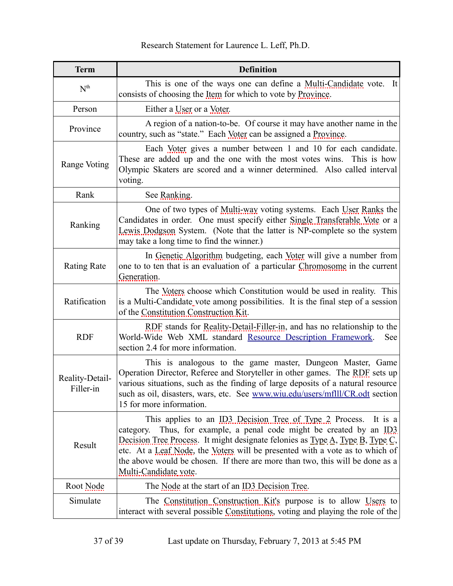<span id="page-36-15"></span><span id="page-36-14"></span><span id="page-36-13"></span><span id="page-36-12"></span><span id="page-36-11"></span><span id="page-36-10"></span><span id="page-36-9"></span><span id="page-36-8"></span><span id="page-36-7"></span><span id="page-36-6"></span><span id="page-36-5"></span><span id="page-36-4"></span><span id="page-36-3"></span><span id="page-36-2"></span><span id="page-36-1"></span><span id="page-36-0"></span>

| <b>Term</b>                  | <b>Definition</b>                                                                                                                                                                                                                                                                                                                                                                                                                       |
|------------------------------|-----------------------------------------------------------------------------------------------------------------------------------------------------------------------------------------------------------------------------------------------------------------------------------------------------------------------------------------------------------------------------------------------------------------------------------------|
| N <sup>th</sup>              | This is one of the ways one can define a <u>Multi-Candidate</u> vote. It<br>consists of choosing the <u>Item</u> for which to vote by <b>Province</b> .                                                                                                                                                                                                                                                                                 |
| Person                       | Either a User or a Voter.                                                                                                                                                                                                                                                                                                                                                                                                               |
| Province                     | A region of a nation-to-be. Of course it may have another name in the<br>country, such as "state." Each Voter can be assigned a Province.                                                                                                                                                                                                                                                                                               |
| Range Voting                 | Each Voter gives a number between 1 and 10 for each candidate.<br>These are added up and the one with the most votes wins. This is how<br>Olympic Skaters are scored and a winner determined. Also called interval<br>voting.                                                                                                                                                                                                           |
| Rank                         | See Ranking.                                                                                                                                                                                                                                                                                                                                                                                                                            |
| Ranking                      | One of two types of Multi-way voting systems. Each User Ranks the<br>Candidates in order. One must specify either Single Transferable Vote or a<br>Lewis Dodgson System. (Note that the latter is NP-complete so the system<br>may take a long time to find the winner.)                                                                                                                                                                |
| <b>Rating Rate</b>           | In Genetic Algorithm budgeting, each Voter will give a number from<br>one to to ten that is an evaluation of a particular Chromosome in the current<br>Generation.                                                                                                                                                                                                                                                                      |
| Ratification                 | The Voters choose which Constitution would be used in reality. This<br>is a Multi-Candidate vote among possibilities. It is the final step of a session<br>of the Constitution Construction Kit.                                                                                                                                                                                                                                        |
| <b>RDF</b>                   | RDF stands for Reality-Detail-Filler-in, and has no relationship to the<br>World-Wide Web XML standard Resource Description Framework.<br>See<br>section 2.4 for more information.                                                                                                                                                                                                                                                      |
| Reality-Detail-<br>Filler-in | This is analogous to the game master, Dungeon Master, Game<br>Operation Director, Referee and Storyteller in other games. The RDF sets up<br>various situations, such as the finding of large deposits of a natural resource<br>such as oil, disasters, wars, etc. See www.wiu.edu/users/mflll/CR.odt section<br>15 for more information.                                                                                               |
| Result                       | This applies to an ID3 Decision Tree of Type 2 Process.<br>It is $a$<br>Thus, for example, a penal code might be created by an $\Pi_{.}^{3}$<br>category.<br>Decision Tree Process. It might designate felonies as $Type A$ , Type B, Type C,<br>etc. At a Leaf Node, the Voters will be presented with a vote as to which of<br>the above would be chosen. If there are more than two, this will be done as a<br>Multi-Candidate vote. |
| Root Node                    | The Node at the start of an ID3 Decision Tree.                                                                                                                                                                                                                                                                                                                                                                                          |
| Simulate                     | The Constitution Construction Kit's purpose is to allow Users to<br>interact with several possible Constitutions, voting and playing the role of the                                                                                                                                                                                                                                                                                    |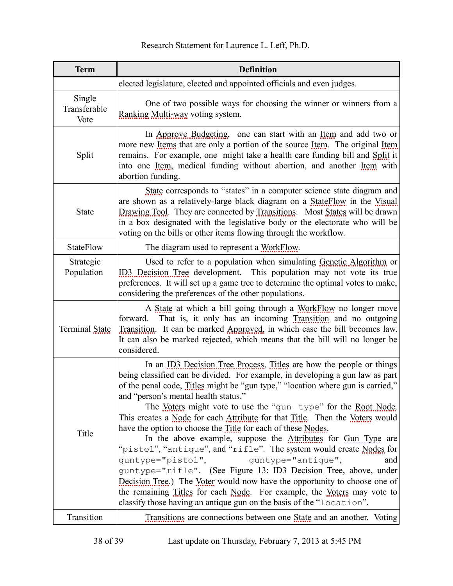[Research Statement for Laurence L. Leff, Ph.D.](#page-0-3)

<span id="page-37-9"></span><span id="page-37-8"></span><span id="page-37-7"></span><span id="page-37-6"></span><span id="page-37-5"></span><span id="page-37-4"></span><span id="page-37-3"></span><span id="page-37-2"></span><span id="page-37-1"></span><span id="page-37-0"></span>

| <b>Term</b>                    | <b>Definition</b>                                                                                                                                                                                                                                                                                                                                                                                                                                                                                                                                                                                                                                                                                                                                                                                                                                                                                                                                                                                |
|--------------------------------|--------------------------------------------------------------------------------------------------------------------------------------------------------------------------------------------------------------------------------------------------------------------------------------------------------------------------------------------------------------------------------------------------------------------------------------------------------------------------------------------------------------------------------------------------------------------------------------------------------------------------------------------------------------------------------------------------------------------------------------------------------------------------------------------------------------------------------------------------------------------------------------------------------------------------------------------------------------------------------------------------|
|                                | elected legislature, elected and appointed officials and even judges.                                                                                                                                                                                                                                                                                                                                                                                                                                                                                                                                                                                                                                                                                                                                                                                                                                                                                                                            |
| Single<br>Transferable<br>Vote | One of two possible ways for choosing the winner or winners from a<br>Ranking Multi-way voting system.                                                                                                                                                                                                                                                                                                                                                                                                                                                                                                                                                                                                                                                                                                                                                                                                                                                                                           |
| Split                          | In Approve Budgeting, one can start with an Item and add two or<br>more new Items that are only a portion of the source Item. The original Item<br>remains. For example, one might take a health care funding bill and Split it<br>into one Item, medical funding without abortion, and another Item with<br>abortion funding.                                                                                                                                                                                                                                                                                                                                                                                                                                                                                                                                                                                                                                                                   |
| <b>State</b>                   | State corresponds to "states" in a computer science state diagram and<br>are shown as a relatively-large black diagram on a StateFlow in the Visual<br>Drawing Tool. They are connected by Transitions. Most States will be drawn<br>in a box designated with the legislative body or the electorate who will be<br>voting on the bills or other items flowing through the workflow.                                                                                                                                                                                                                                                                                                                                                                                                                                                                                                                                                                                                             |
| <b>StateFlow</b>               | The diagram used to represent a WorkFlow.                                                                                                                                                                                                                                                                                                                                                                                                                                                                                                                                                                                                                                                                                                                                                                                                                                                                                                                                                        |
| Strategic<br>Population        | Used to refer to a population when simulating Genetic Algorithm or<br>ID3 Decision Tree development. This population may not vote its true<br>preferences. It will set up a game tree to determine the optimal votes to make,<br>considering the preferences of the other populations.                                                                                                                                                                                                                                                                                                                                                                                                                                                                                                                                                                                                                                                                                                           |
| Terminal State                 | A State at which a bill going through a WorkFlow no longer move<br>That is, it only has an incoming Transition and no outgoing<br>forward.<br>Transition. It can be marked Approved, in which case the bill becomes law.<br>It can also be marked rejected, which means that the bill will no longer be<br>considered.                                                                                                                                                                                                                                                                                                                                                                                                                                                                                                                                                                                                                                                                           |
| Title                          | In an ID3 Decision Tree Process, Titles are how the people or things<br>being classified can be divided. For example, in developing a gun law as part<br>of the penal code, Titles might be "gun type," "location where gun is carried,"<br>and "person's mental health status."<br>The Voters might vote to use the "gun type" for the Root Node.<br>This creates a Node for each Attribute for that Title. Then the Voters would<br>have the option to choose the Title for each of these Nodes.<br>In the above example, suppose the Attributes for Gun Type are<br>"pistol", "antique", and "rifle". The system would create Nodes for<br>quntype="pistol",<br>quntype="antique",<br>and<br>guntype="rifle". (See Figure 13: ID3 Decision Tree, above, under<br>Decision Tree.) The Voter would now have the opportunity to choose one of<br>the remaining Titles for each Node. For example, the Voters may vote to<br>classify those having an antique gun on the basis of the "location". |
| Transition                     | Transitions are connections between one State and an another. Voting                                                                                                                                                                                                                                                                                                                                                                                                                                                                                                                                                                                                                                                                                                                                                                                                                                                                                                                             |